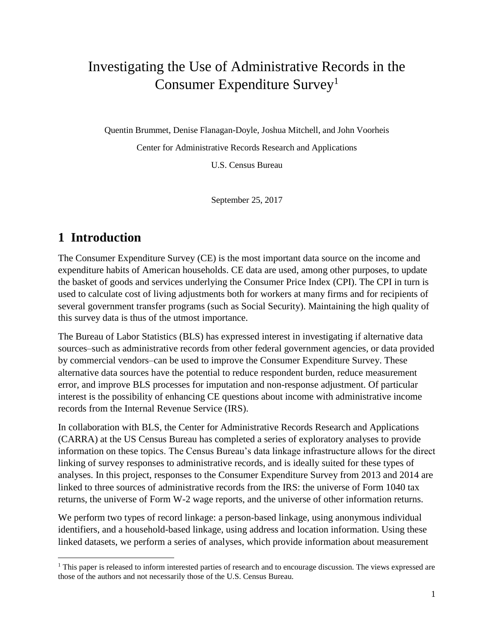# Investigating the Use of Administrative Records in the Consumer Expenditure Survey<sup>1</sup>

Quentin Brummet, Denise Flanagan-Doyle, Joshua Mitchell, and John Voorheis

Center for Administrative Records Research and Applications

U.S. Census Bureau

September 25, 2017

# **1 Introduction**

 $\overline{\phantom{a}}$ 

The Consumer Expenditure Survey (CE) is the most important data source on the income and expenditure habits of American households. CE data are used, among other purposes, to update the basket of goods and services underlying the Consumer Price Index (CPI). The CPI in turn is used to calculate cost of living adjustments both for workers at many firms and for recipients of several government transfer programs (such as Social Security). Maintaining the high quality of this survey data is thus of the utmost importance.

The Bureau of Labor Statistics (BLS) has expressed interest in investigating if alternative data sources–such as administrative records from other federal government agencies, or data provided by commercial vendors–can be used to improve the Consumer Expenditure Survey. These alternative data sources have the potential to reduce respondent burden, reduce measurement error, and improve BLS processes for imputation and non-response adjustment. Of particular interest is the possibility of enhancing CE questions about income with administrative income records from the Internal Revenue Service (IRS).

In collaboration with BLS, the Center for Administrative Records Research and Applications (CARRA) at the US Census Bureau has completed a series of exploratory analyses to provide information on these topics. The Census Bureau's data linkage infrastructure allows for the direct linking of survey responses to administrative records, and is ideally suited for these types of analyses. In this project, responses to the Consumer Expenditure Survey from 2013 and 2014 are linked to three sources of administrative records from the IRS: the universe of Form 1040 tax returns, the universe of Form W-2 wage reports, and the universe of other information returns.

We perform two types of record linkage: a person-based linkage, using anonymous individual identifiers, and a household-based linkage, using address and location information. Using these linked datasets, we perform a series of analyses, which provide information about measurement

 $<sup>1</sup>$  This paper is released to inform interested parties of research and to encourage discussion. The views expressed are</sup> those of the authors and not necessarily those of the U.S. Census Bureau.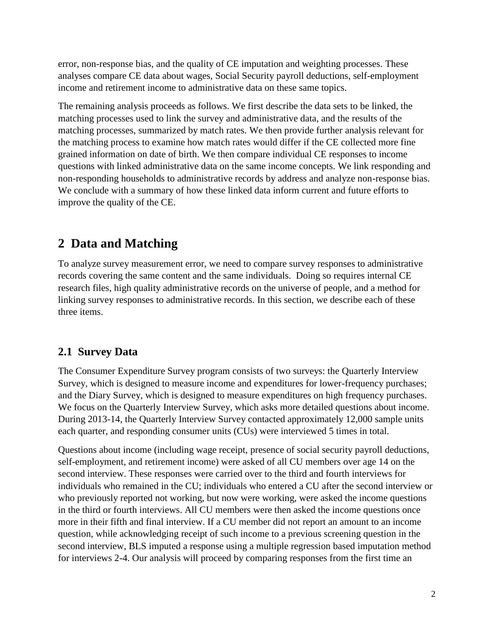error, non-response bias, and the quality of CE imputation and weighting processes. These analyses compare CE data about wages, Social Security payroll deductions, self-employment income and retirement income to administrative data on these same topics.

The remaining analysis proceeds as follows. We first describe the data sets to be linked, the matching processes used to link the survey and administrative data, and the results of the matching processes, summarized by match rates. We then provide further analysis relevant for the matching process to examine how match rates would differ if the CE collected more fine grained information on date of birth. We then compare individual CE responses to income questions with linked administrative data on the same income concepts. We link responding and non-responding households to administrative records by address and analyze non-response bias. We conclude with a summary of how these linked data inform current and future efforts to improve the quality of the CE.

# **2 Data and Matching**

To analyze survey measurement error, we need to compare survey responses to administrative records covering the same content and the same individuals. Doing so requires internal CE research files, high quality administrative records on the universe of people, and a method for linking survey responses to administrative records. In this section, we describe each of these three items.

## **2.1 Survey Data**

The Consumer Expenditure Survey program consists of two surveys: the Quarterly Interview Survey, which is designed to measure income and expenditures for lower-frequency purchases; and the Diary Survey, which is designed to measure expenditures on high frequency purchases. We focus on the Quarterly Interview Survey, which asks more detailed questions about income. During 2013-14, the Quarterly Interview Survey contacted approximately 12,000 sample units each quarter, and responding consumer units (CUs) were interviewed 5 times in total.

Questions about income (including wage receipt, presence of social security payroll deductions, self-employment, and retirement income) were asked of all CU members over age 14 on the second interview. These responses were carried over to the third and fourth interviews for individuals who remained in the CU; individuals who entered a CU after the second interview or who previously reported not working, but now were working, were asked the income questions in the third or fourth interviews. All CU members were then asked the income questions once more in their fifth and final interview. If a CU member did not report an amount to an income question, while acknowledging receipt of such income to a previous screening question in the second interview, BLS imputed a response using a multiple regression based imputation method for interviews 2-4. Our analysis will proceed by comparing responses from the first time an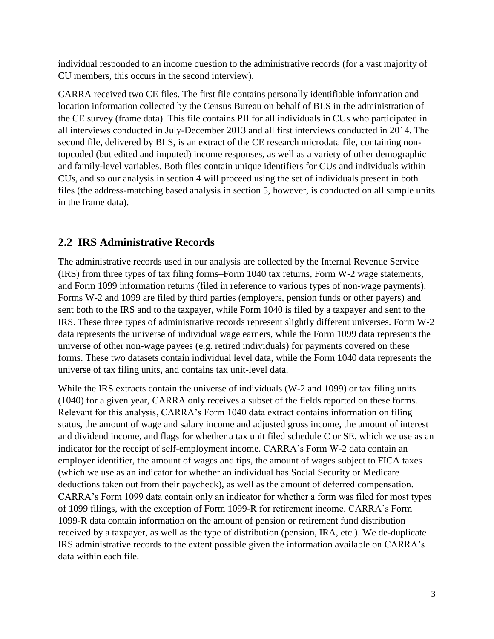individual responded to an income question to the administrative records (for a vast majority of CU members, this occurs in the second interview).

CARRA received two CE files. The first file contains personally identifiable information and location information collected by the Census Bureau on behalf of BLS in the administration of the CE survey (frame data). This file contains PII for all individuals in CUs who participated in all interviews conducted in July-December 2013 and all first interviews conducted in 2014. The second file, delivered by BLS, is an extract of the CE research microdata file, containing nontopcoded (but edited and imputed) income responses, as well as a variety of other demographic and family-level variables. Both files contain unique identifiers for CUs and individuals within CUs, and so our analysis in section 4 will proceed using the set of individuals present in both files (the address-matching based analysis in section 5, however, is conducted on all sample units in the frame data).

# **2.2 IRS Administrative Records**

The administrative records used in our analysis are collected by the Internal Revenue Service (IRS) from three types of tax filing forms–Form 1040 tax returns, Form W-2 wage statements, and Form 1099 information returns (filed in reference to various types of non-wage payments). Forms W-2 and 1099 are filed by third parties (employers, pension funds or other payers) and sent both to the IRS and to the taxpayer, while Form 1040 is filed by a taxpayer and sent to the IRS. These three types of administrative records represent slightly different universes. Form W-2 data represents the universe of individual wage earners, while the Form 1099 data represents the universe of other non-wage payees (e.g. retired individuals) for payments covered on these forms. These two datasets contain individual level data, while the Form 1040 data represents the universe of tax filing units, and contains tax unit-level data.

While the IRS extracts contain the universe of individuals (W-2 and 1099) or tax filing units (1040) for a given year, CARRA only receives a subset of the fields reported on these forms. Relevant for this analysis, CARRA's Form 1040 data extract contains information on filing status, the amount of wage and salary income and adjusted gross income, the amount of interest and dividend income, and flags for whether a tax unit filed schedule C or SE, which we use as an indicator for the receipt of self-employment income. CARRA's Form W-2 data contain an employer identifier, the amount of wages and tips, the amount of wages subject to FICA taxes (which we use as an indicator for whether an individual has Social Security or Medicare deductions taken out from their paycheck), as well as the amount of deferred compensation. CARRA's Form 1099 data contain only an indicator for whether a form was filed for most types of 1099 filings, with the exception of Form 1099-R for retirement income. CARRA's Form 1099-R data contain information on the amount of pension or retirement fund distribution received by a taxpayer, as well as the type of distribution (pension, IRA, etc.). We de-duplicate IRS administrative records to the extent possible given the information available on CARRA's data within each file.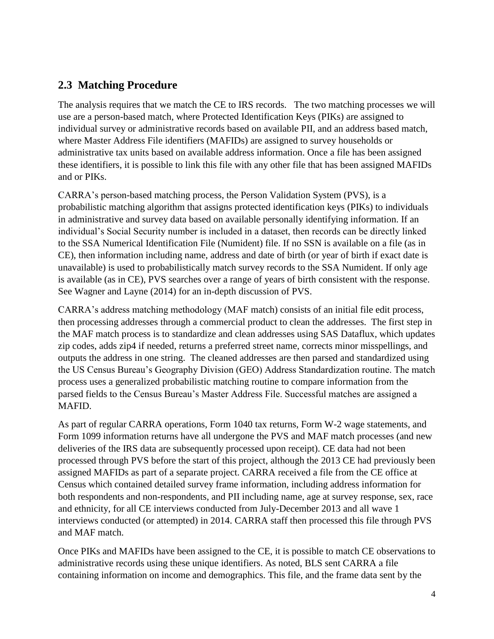# **2.3 Matching Procedure**

The analysis requires that we match the CE to IRS records. The two matching processes we will use are a person-based match, where Protected Identification Keys (PIKs) are assigned to individual survey or administrative records based on available PII, and an address based match, where Master Address File identifiers (MAFIDs) are assigned to survey households or administrative tax units based on available address information. Once a file has been assigned these identifiers, it is possible to link this file with any other file that has been assigned MAFIDs and or PIKs.

CARRA's person-based matching process, the Person Validation System (PVS), is a probabilistic matching algorithm that assigns protected identification keys (PIKs) to individuals in administrative and survey data based on available personally identifying information. If an individual's Social Security number is included in a dataset, then records can be directly linked to the SSA Numerical Identification File (Numident) file. If no SSN is available on a file (as in CE), then information including name, address and date of birth (or year of birth if exact date is unavailable) is used to probabilistically match survey records to the SSA Numident. If only age is available (as in CE), PVS searches over a range of years of birth consistent with the response. See Wagner and Layne (2014) for an in-depth discussion of PVS.

CARRA's address matching methodology (MAF match) consists of an initial file edit process, then processing addresses through a commercial product to clean the addresses. The first step in the MAF match process is to standardize and clean addresses using SAS Dataflux, which updates zip codes, adds zip4 if needed, returns a preferred street name, corrects minor misspellings, and outputs the address in one string. The cleaned addresses are then parsed and standardized using the US Census Bureau's Geography Division (GEO) Address Standardization routine. The match process uses a generalized probabilistic matching routine to compare information from the parsed fields to the Census Bureau's Master Address File. Successful matches are assigned a MAFID.

As part of regular CARRA operations, Form 1040 tax returns, Form W-2 wage statements, and Form 1099 information returns have all undergone the PVS and MAF match processes (and new deliveries of the IRS data are subsequently processed upon receipt). CE data had not been processed through PVS before the start of this project, although the 2013 CE had previously been assigned MAFIDs as part of a separate project. CARRA received a file from the CE office at Census which contained detailed survey frame information, including address information for both respondents and non-respondents, and PII including name, age at survey response, sex, race and ethnicity, for all CE interviews conducted from July-December 2013 and all wave 1 interviews conducted (or attempted) in 2014. CARRA staff then processed this file through PVS and MAF match.

Once PIKs and MAFIDs have been assigned to the CE, it is possible to match CE observations to administrative records using these unique identifiers. As noted, BLS sent CARRA a file containing information on income and demographics. This file, and the frame data sent by the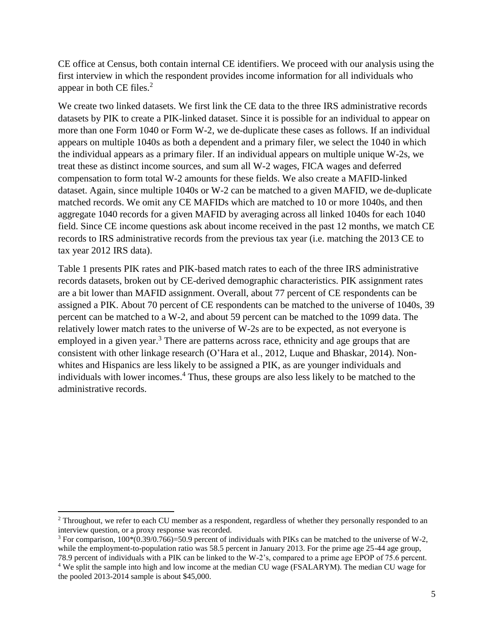CE office at Census, both contain internal CE identifiers. We proceed with our analysis using the first interview in which the respondent provides income information for all individuals who appear in both CE files. 2

We create two linked datasets. We first link the CE data to the three IRS administrative records datasets by PIK to create a PIK-linked dataset. Since it is possible for an individual to appear on more than one Form 1040 or Form W-2, we de-duplicate these cases as follows. If an individual appears on multiple 1040s as both a dependent and a primary filer, we select the 1040 in which the individual appears as a primary filer. If an individual appears on multiple unique W-2s, we treat these as distinct income sources, and sum all W-2 wages, FICA wages and deferred compensation to form total W-2 amounts for these fields. We also create a MAFID-linked dataset. Again, since multiple 1040s or W-2 can be matched to a given MAFID, we de-duplicate matched records. We omit any CE MAFIDs which are matched to 10 or more 1040s, and then aggregate 1040 records for a given MAFID by averaging across all linked 1040s for each 1040 field. Since CE income questions ask about income received in the past 12 months, we match CE records to IRS administrative records from the previous tax year (i.e. matching the 2013 CE to tax year 2012 IRS data).

Table 1 presents PIK rates and PIK-based match rates to each of the three IRS administrative records datasets, broken out by CE-derived demographic characteristics. PIK assignment rates are a bit lower than MAFID assignment. Overall, about 77 percent of CE respondents can be assigned a PIK. About 70 percent of CE respondents can be matched to the universe of 1040s, 39 percent can be matched to a W-2, and about 59 percent can be matched to the 1099 data. The relatively lower match rates to the universe of W-2s are to be expected, as not everyone is employed in a given year.<sup>3</sup> There are patterns across race, ethnicity and age groups that are consistent with other linkage research (O'Hara et al., 2012, Luque and Bhaskar, 2014). Nonwhites and Hispanics are less likely to be assigned a PIK, as are younger individuals and individuals with lower incomes.<sup>4</sup> Thus, these groups are also less likely to be matched to the administrative records.

 $\overline{\phantom{a}}$ 

<sup>&</sup>lt;sup>2</sup> Throughout, we refer to each CU member as a respondent, regardless of whether they personally responded to an interview question, or a proxy response was recorded.

<sup>&</sup>lt;sup>3</sup> For comparison,  $100*(0.39/0.766)=50.9$  percent of individuals with PIKs can be matched to the universe of W-2, while the employment-to-population ratio was 58.5 percent in January 2013. For the prime age 25-44 age group, 78.9 percent of individuals with a PIK can be linked to the W-2's, compared to a prime age EPOP of 75.6 percent.

<sup>4</sup> We split the sample into high and low income at the median CU wage (FSALARYM). The median CU wage for the pooled 2013-2014 sample is about \$45,000.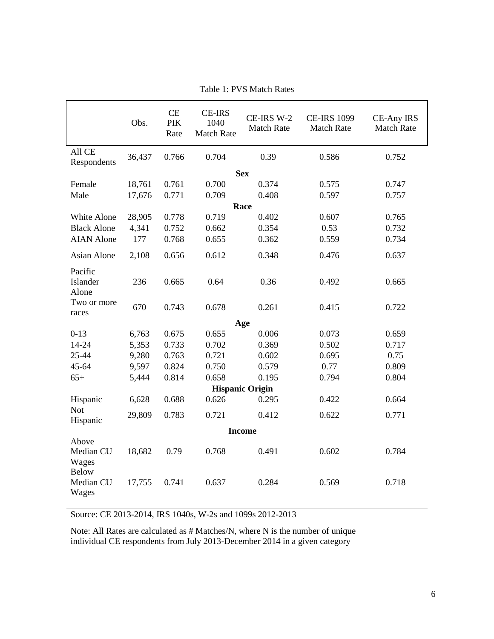|                                             | Obs.   | CE<br><b>PIK</b><br>Rate | <b>CE-IRS</b><br>1040<br><b>Match Rate</b> | CE-IRS W-2<br><b>Match Rate</b> | <b>CE-IRS 1099</b><br><b>Match Rate</b> | <b>CE-Any IRS</b><br><b>Match Rate</b> |
|---------------------------------------------|--------|--------------------------|--------------------------------------------|---------------------------------|-----------------------------------------|----------------------------------------|
| All CE<br>Respondents                       | 36,437 | 0.766                    | 0.704                                      | 0.39                            | 0.586                                   | 0.752                                  |
|                                             |        |                          |                                            | <b>Sex</b>                      |                                         |                                        |
| Female                                      | 18,761 | 0.761                    | 0.700                                      | 0.374                           | 0.575                                   | 0.747                                  |
| Male                                        | 17,676 | 0.771                    | 0.709                                      | 0.408                           | 0.597                                   | 0.757                                  |
|                                             |        |                          |                                            | Race                            |                                         |                                        |
| White Alone                                 | 28,905 | 0.778                    | 0.719                                      | 0.402                           | 0.607                                   | 0.765                                  |
| <b>Black Alone</b>                          | 4,341  | 0.752                    | 0.662                                      | 0.354                           | 0.53                                    | 0.732                                  |
| <b>AIAN</b> Alone                           | 177    | 0.768                    | 0.655                                      | 0.362                           | 0.559                                   | 0.734                                  |
| Asian Alone                                 | 2,108  | 0.656                    | 0.612                                      | 0.348                           | 0.476                                   | 0.637                                  |
| Pacific<br>Islander<br>Alone                | 236    | 0.665                    | 0.64                                       | 0.36                            | 0.492                                   | 0.665                                  |
| Two or more<br>races                        | 670    | 0.743                    | 0.678                                      | 0.261                           | 0.415                                   | 0.722                                  |
|                                             |        |                          |                                            | Age                             |                                         |                                        |
| $0-13$                                      | 6,763  | 0.675                    | 0.655                                      | 0.006                           | 0.073                                   | 0.659                                  |
| 14-24                                       | 5,353  | 0.733                    | 0.702                                      | 0.369                           | 0.502                                   | 0.717                                  |
| 25-44                                       | 9,280  | 0.763                    | 0.721                                      | 0.602                           | 0.695                                   | 0.75                                   |
| 45-64                                       | 9,597  | 0.824                    | 0.750                                      | 0.579                           | 0.77                                    | 0.809                                  |
| $65+$                                       | 5,444  | 0.814                    | 0.658                                      | 0.195                           | 0.794                                   | 0.804                                  |
|                                             |        |                          |                                            | <b>Hispanic Origin</b>          |                                         |                                        |
| Hispanic                                    | 6,628  | 0.688                    | 0.626                                      | 0.295                           | 0.422                                   | 0.664                                  |
| <b>Not</b><br>Hispanic                      | 29,809 | 0.783                    | 0.721                                      | 0.412                           | 0.622                                   | 0.771                                  |
|                                             |        |                          |                                            | <b>Income</b>                   |                                         |                                        |
| Above<br>Median CU<br>Wages<br><b>Below</b> | 18,682 | 0.79                     | 0.768                                      | 0.491                           | 0.602                                   | 0.784                                  |
| Median CU<br>Wages                          | 17,755 | 0.741                    | 0.637                                      | 0.284                           | 0.569                                   | 0.718                                  |

Table 1: PVS Match Rates

Source: CE 2013-2014, IRS 1040s, W-2s and 1099s 2012-2013

Note: All Rates are calculated as # Matches/N, where N is the number of unique individual CE respondents from July 2013-December 2014 in a given category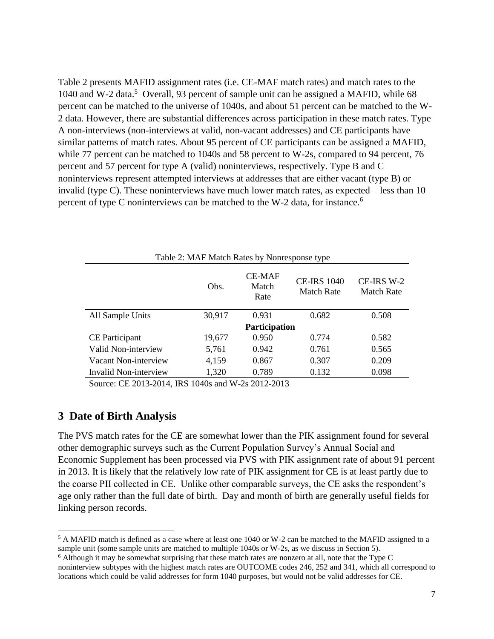Table 2 presents MAFID assignment rates (i.e. CE-MAF match rates) and match rates to the 1040 and W-2 data.<sup>5</sup> Overall, 93 percent of sample unit can be assigned a MAFID, while 68 percent can be matched to the universe of 1040s, and about 51 percent can be matched to the W-2 data. However, there are substantial differences across participation in these match rates. Type A non-interviews (non-interviews at valid, non-vacant addresses) and CE participants have similar patterns of match rates. About 95 percent of CE participants can be assigned a MAFID, while 77 percent can be matched to 1040s and 58 percent to W-2s, compared to 94 percent, 76 percent and 57 percent for type A (valid) noninterviews, respectively. Type B and C noninterviews represent attempted interviews at addresses that are either vacant (type B) or invalid (type C). These noninterviews have much lower match rates, as expected – less than 10 percent of type C noninterviews can be matched to the W-2 data, for instance.<sup>6</sup>

| Table 2: MAF Match Rates by Nonresponse type                |                                                                                  |  |  |  |  |
|-------------------------------------------------------------|----------------------------------------------------------------------------------|--|--|--|--|
| <b>CE-MAF</b><br>Match<br>Obs.<br><b>Match Rate</b><br>Rate |                                                                                  |  |  |  |  |
| 0.682                                                       | 0.508                                                                            |  |  |  |  |
|                                                             |                                                                                  |  |  |  |  |
| 0.774                                                       | 0.582                                                                            |  |  |  |  |
| 0.761                                                       | 0.565                                                                            |  |  |  |  |
| 0.307                                                       | 0.209                                                                            |  |  |  |  |
| 0.132                                                       | 0.098                                                                            |  |  |  |  |
|                                                             | <b>CE-IRS 1040</b><br>0.931<br>Participation<br>0.950<br>0.942<br>0.867<br>0.789 |  |  |  |  |

Source: CE 2013-2014, IRS 1040s and W-2s 2012-2013

#### **3 Date of Birth Analysis**

 $\overline{a}$ 

The PVS match rates for the CE are somewhat lower than the PIK assignment found for several other demographic surveys such as the Current Population Survey's Annual Social and Economic Supplement has been processed via PVS with PIK assignment rate of about 91 percent in 2013. It is likely that the relatively low rate of PIK assignment for CE is at least partly due to the coarse PII collected in CE. Unlike other comparable surveys, the CE asks the respondent's age only rather than the full date of birth. Day and month of birth are generally useful fields for linking person records.

<sup>&</sup>lt;sup>5</sup> A MAFID match is defined as a case where at least one 1040 or W-2 can be matched to the MAFID assigned to a sample unit (some sample units are matched to multiple 1040s or W-2s, as we discuss in Section 5).

<sup>6</sup> Although it may be somewhat surprising that these match rates are nonzero at all, note that the Type C noninterview subtypes with the highest match rates are OUTCOME codes 246, 252 and 341, which all correspond to locations which could be valid addresses for form 1040 purposes, but would not be valid addresses for CE.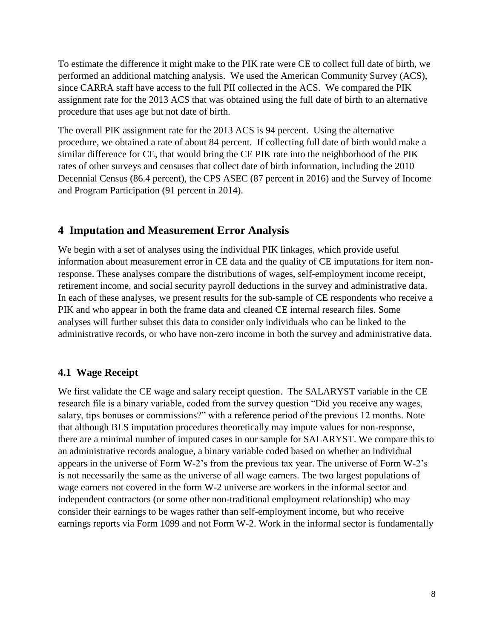To estimate the difference it might make to the PIK rate were CE to collect full date of birth, we performed an additional matching analysis. We used the American Community Survey (ACS), since CARRA staff have access to the full PII collected in the ACS. We compared the PIK assignment rate for the 2013 ACS that was obtained using the full date of birth to an alternative procedure that uses age but not date of birth.

The overall PIK assignment rate for the 2013 ACS is 94 percent. Using the alternative procedure, we obtained a rate of about 84 percent. If collecting full date of birth would make a similar difference for CE, that would bring the CE PIK rate into the neighborhood of the PIK rates of other surveys and censuses that collect date of birth information, including the 2010 Decennial Census (86.4 percent), the CPS ASEC (87 percent in 2016) and the Survey of Income and Program Participation (91 percent in 2014).

### **4 Imputation and Measurement Error Analysis**

We begin with a set of analyses using the individual PIK linkages, which provide useful information about measurement error in CE data and the quality of CE imputations for item nonresponse. These analyses compare the distributions of wages, self-employment income receipt, retirement income, and social security payroll deductions in the survey and administrative data. In each of these analyses, we present results for the sub-sample of CE respondents who receive a PIK and who appear in both the frame data and cleaned CE internal research files. Some analyses will further subset this data to consider only individuals who can be linked to the administrative records, or who have non-zero income in both the survey and administrative data.

#### **4.1 Wage Receipt**

We first validate the CE wage and salary receipt question. The SALARYST variable in the CE research file is a binary variable, coded from the survey question "Did you receive any wages, salary, tips bonuses or commissions?" with a reference period of the previous 12 months. Note that although BLS imputation procedures theoretically may impute values for non-response, there are a minimal number of imputed cases in our sample for SALARYST. We compare this to an administrative records analogue, a binary variable coded based on whether an individual appears in the universe of Form W-2's from the previous tax year. The universe of Form W-2's is not necessarily the same as the universe of all wage earners. The two largest populations of wage earners not covered in the form W-2 universe are workers in the informal sector and independent contractors (or some other non-traditional employment relationship) who may consider their earnings to be wages rather than self-employment income, but who receive earnings reports via Form 1099 and not Form W-2. Work in the informal sector is fundamentally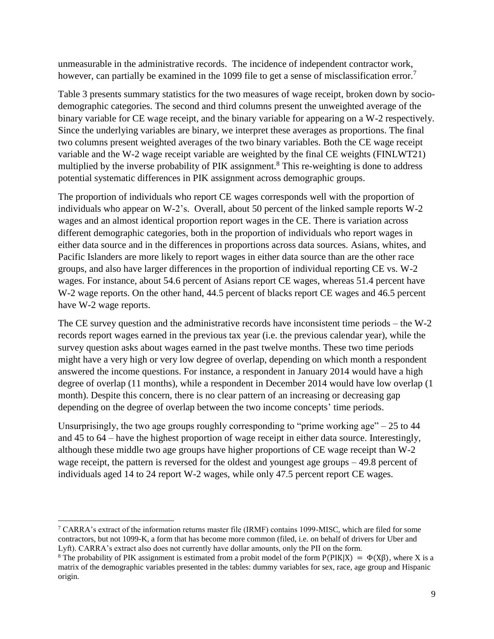unmeasurable in the administrative records. The incidence of independent contractor work, however, can partially be examined in the 1099 file to get a sense of misclassification error.<sup>7</sup>

Table 3 presents summary statistics for the two measures of wage receipt, broken down by sociodemographic categories. The second and third columns present the unweighted average of the binary variable for CE wage receipt, and the binary variable for appearing on a W-2 respectively. Since the underlying variables are binary, we interpret these averages as proportions. The final two columns present weighted averages of the two binary variables. Both the CE wage receipt variable and the W-2 wage receipt variable are weighted by the final CE weights (FINLWT21) multiplied by the inverse probability of PIK assignment.<sup>8</sup> This re-weighting is done to address potential systematic differences in PIK assignment across demographic groups.

The proportion of individuals who report CE wages corresponds well with the proportion of individuals who appear on W-2's. Overall, about 50 percent of the linked sample reports W-2 wages and an almost identical proportion report wages in the CE. There is variation across different demographic categories, both in the proportion of individuals who report wages in either data source and in the differences in proportions across data sources. Asians, whites, and Pacific Islanders are more likely to report wages in either data source than are the other race groups, and also have larger differences in the proportion of individual reporting CE vs. W-2 wages. For instance, about 54.6 percent of Asians report CE wages, whereas 51.4 percent have W-2 wage reports. On the other hand, 44.5 percent of blacks report CE wages and 46.5 percent have W-2 wage reports.

The CE survey question and the administrative records have inconsistent time periods – the W-2 records report wages earned in the previous tax year (i.e. the previous calendar year), while the survey question asks about wages earned in the past twelve months. These two time periods might have a very high or very low degree of overlap, depending on which month a respondent answered the income questions. For instance, a respondent in January 2014 would have a high degree of overlap (11 months), while a respondent in December 2014 would have low overlap (1 month). Despite this concern, there is no clear pattern of an increasing or decreasing gap depending on the degree of overlap between the two income concepts' time periods.

Unsurprisingly, the two age groups roughly corresponding to "prime working age"  $-25$  to 44 and 45 to 64 – have the highest proportion of wage receipt in either data source. Interestingly, although these middle two age groups have higher proportions of CE wage receipt than W-2 wage receipt, the pattern is reversed for the oldest and youngest age groups – 49.8 percent of individuals aged 14 to 24 report W-2 wages, while only 47.5 percent report CE wages.

 $\overline{\phantom{a}}$ 

 $7$  CARRA's extract of the information returns master file (IRMF) contains 1099-MISC, which are filed for some contractors, but not 1099-K, a form that has become more common (filed, i.e. on behalf of drivers for Uber and Lyft). CARRA's extract also does not currently have dollar amounts, only the PII on the form.

<sup>&</sup>lt;sup>8</sup> The probability of PIK assignment is estimated from a probit model of the form  $P(PIK|X) = \Phi(X\beta)$ , where X is a matrix of the demographic variables presented in the tables: dummy variables for sex, race, age group and Hispanic origin.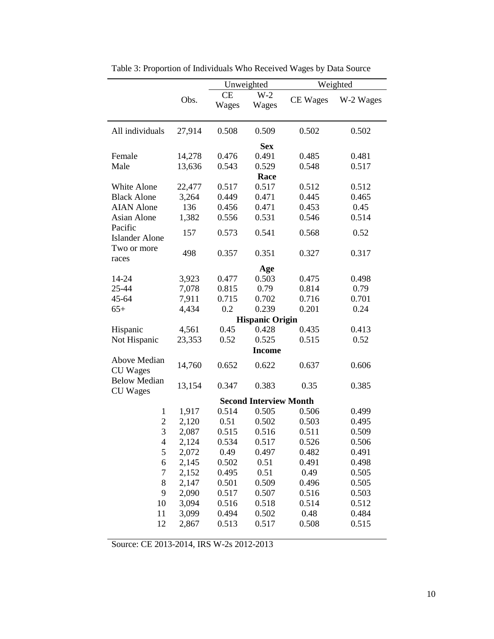|        | Unweighted<br>Weighted                                      |                                           |                                                          |                                                                                                               |
|--------|-------------------------------------------------------------|-------------------------------------------|----------------------------------------------------------|---------------------------------------------------------------------------------------------------------------|
| Obs.   | <b>CE</b><br>Wages                                          | $W-2$<br>Wages                            | <b>CE</b> Wages                                          | W-2 Wages                                                                                                     |
| 27,914 | 0.508                                                       | 0.509                                     | 0.502                                                    | 0.502                                                                                                         |
|        |                                                             | <b>Sex</b>                                |                                                          |                                                                                                               |
| 14,278 | 0.476                                                       | 0.491                                     |                                                          | 0.481                                                                                                         |
|        |                                                             |                                           |                                                          | 0.517                                                                                                         |
|        |                                                             |                                           |                                                          |                                                                                                               |
|        |                                                             |                                           |                                                          | 0.512                                                                                                         |
|        |                                                             |                                           |                                                          | 0.465                                                                                                         |
|        |                                                             |                                           |                                                          | 0.45                                                                                                          |
|        |                                                             |                                           |                                                          | 0.514                                                                                                         |
| 157    | 0.573                                                       | 0.541                                     | 0.568                                                    | 0.52                                                                                                          |
| 498    | 0.357                                                       | 0.351                                     | 0.327                                                    | 0.317                                                                                                         |
|        |                                                             |                                           |                                                          |                                                                                                               |
|        | 0.477                                                       | 0.503                                     | 0.475                                                    | 0.498                                                                                                         |
|        | 0.815                                                       | 0.79                                      | 0.814                                                    | 0.79                                                                                                          |
| 7,911  | 0.715                                                       | 0.702                                     | 0.716                                                    | 0.701                                                                                                         |
| 4,434  | 0.2                                                         | 0.239                                     | 0.201                                                    | 0.24                                                                                                          |
|        |                                                             |                                           |                                                          |                                                                                                               |
| 4,561  | 0.45                                                        | 0.428                                     | 0.435                                                    | 0.413                                                                                                         |
| 23,353 | 0.52                                                        | 0.525                                     | 0.515                                                    | 0.52                                                                                                          |
|        |                                                             | <b>Income</b>                             |                                                          |                                                                                                               |
| 14,760 | 0.652                                                       | 0.622                                     | 0.637                                                    | 0.606                                                                                                         |
| 13,154 | 0.347                                                       | 0.383                                     | 0.35                                                     | 0.385                                                                                                         |
|        |                                                             |                                           |                                                          |                                                                                                               |
| 1,917  | 0.514                                                       | 0.505                                     | 0.506                                                    | 0.499                                                                                                         |
| 2,120  | 0.51                                                        | 0.502                                     | 0.503                                                    | 0.495                                                                                                         |
| 2,087  | 0.515                                                       | 0.516                                     | 0.511                                                    | 0.509                                                                                                         |
| 2,124  | 0.534                                                       | 0.517                                     | 0.526                                                    | 0.506                                                                                                         |
| 2,072  | 0.49                                                        | 0.497                                     | 0.482                                                    | 0.491                                                                                                         |
| 2,145  | 0.502                                                       | 0.51                                      | 0.491                                                    | 0.498                                                                                                         |
| 2,152  | 0.495                                                       | 0.51                                      | 0.49                                                     | 0.505                                                                                                         |
| 2,147  | 0.501                                                       | 0.509                                     | 0.496                                                    | 0.505                                                                                                         |
| 2,090  | 0.517                                                       | 0.507                                     | 0.516                                                    | 0.503                                                                                                         |
| 3,094  | 0.516                                                       | 0.518                                     | 0.514                                                    | 0.512                                                                                                         |
| 3,099  | 0.494                                                       | 0.502                                     | 0.48                                                     | 0.484                                                                                                         |
| 2,867  | 0.513                                                       | 0.517                                     | 0.508                                                    | 0.515                                                                                                         |
|        | 13,636<br>22,477<br>3,264<br>136<br>1,382<br>3,923<br>7,078 | 0.543<br>0.517<br>0.449<br>0.456<br>0.556 | 0.529<br>Race<br>0.517<br>0.471<br>0.471<br>0.531<br>Age | 0.485<br>0.548<br>0.512<br>0.445<br>0.453<br>0.546<br><b>Hispanic Origin</b><br><b>Second Interview Month</b> |

Table 3: Proportion of Individuals Who Received Wages by Data Source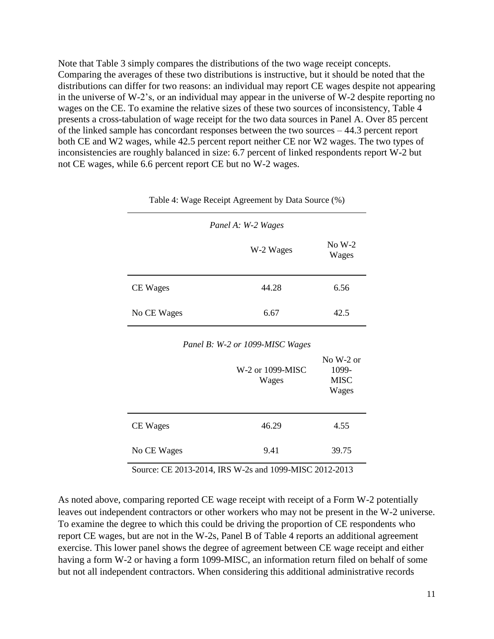Note that Table 3 simply compares the distributions of the two wage receipt concepts. Comparing the averages of these two distributions is instructive, but it should be noted that the distributions can differ for two reasons: an individual may report CE wages despite not appearing in the universe of W-2's, or an individual may appear in the universe of W-2 despite reporting no wages on the CE. To examine the relative sizes of these two sources of inconsistency, Table 4 presents a cross-tabulation of wage receipt for the two data sources in Panel A. Over 85 percent of the linked sample has concordant responses between the two sources – 44.3 percent report both CE and W2 wages, while 42.5 percent report neither CE nor W2 wages. The two types of inconsistencies are roughly balanced in size: 6.7 percent of linked respondents report W-2 but not CE wages, while 6.6 percent report CE but no W-2 wages.

|             | Panel A: W-2 Wages |                   |
|-------------|--------------------|-------------------|
|             | W-2 Wages          | $No W-2$<br>Wages |
| CE Wages    | 44.28              | 6.56              |
| No CE Wages | 6.67               | 42.5              |

Table 4: Wage Receipt Agreement by Data Source (%)

| Panel B: W-2 or 1099-MISC Wages |
|---------------------------------|
|---------------------------------|

|             | W-2 or 1099-MISC<br>Wages | No $W-2$ or<br>1099-<br><b>MISC</b><br>Wages |
|-------------|---------------------------|----------------------------------------------|
| CE Wages    | 46.29                     | 4.55                                         |
| No CE Wages | 9.41                      | 39.75                                        |

Source: CE 2013-2014, IRS W-2s and 1099-MISC 2012-2013

As noted above, comparing reported CE wage receipt with receipt of a Form W-2 potentially leaves out independent contractors or other workers who may not be present in the W-2 universe. To examine the degree to which this could be driving the proportion of CE respondents who report CE wages, but are not in the W-2s, Panel B of Table 4 reports an additional agreement exercise. This lower panel shows the degree of agreement between CE wage receipt and either having a form W-2 or having a form 1099-MISC, an information return filed on behalf of some but not all independent contractors. When considering this additional administrative records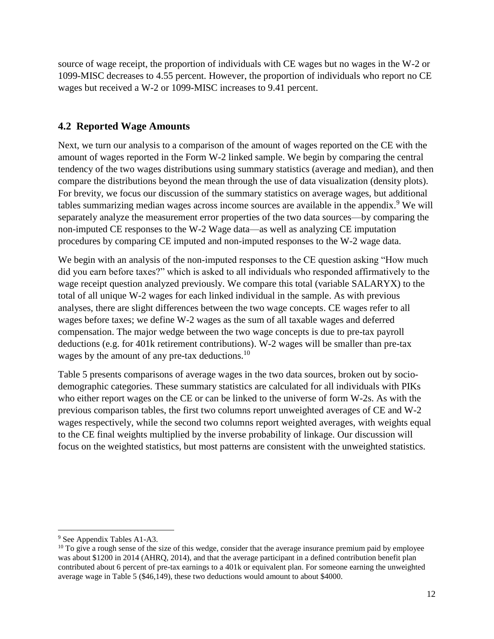source of wage receipt, the proportion of individuals with CE wages but no wages in the W-2 or 1099-MISC decreases to 4.55 percent. However, the proportion of individuals who report no CE wages but received a W-2 or 1099-MISC increases to 9.41 percent.

## **4.2 Reported Wage Amounts**

Next, we turn our analysis to a comparison of the amount of wages reported on the CE with the amount of wages reported in the Form W-2 linked sample. We begin by comparing the central tendency of the two wages distributions using summary statistics (average and median), and then compare the distributions beyond the mean through the use of data visualization (density plots). For brevity, we focus our discussion of the summary statistics on average wages, but additional tables summarizing median wages across income sources are available in the appendix.<sup>9</sup> We will separately analyze the measurement error properties of the two data sources—by comparing the non-imputed CE responses to the W-2 Wage data—as well as analyzing CE imputation procedures by comparing CE imputed and non-imputed responses to the W-2 wage data.

We begin with an analysis of the non-imputed responses to the CE question asking "How much" did you earn before taxes?" which is asked to all individuals who responded affirmatively to the wage receipt question analyzed previously. We compare this total (variable SALARYX) to the total of all unique W-2 wages for each linked individual in the sample. As with previous analyses, there are slight differences between the two wage concepts. CE wages refer to all wages before taxes; we define W-2 wages as the sum of all taxable wages and deferred compensation. The major wedge between the two wage concepts is due to pre-tax payroll deductions (e.g. for 401k retirement contributions). W-2 wages will be smaller than pre-tax wages by the amount of any pre-tax deductions.<sup>10</sup>

Table 5 presents comparisons of average wages in the two data sources, broken out by sociodemographic categories. These summary statistics are calculated for all individuals with PIKs who either report wages on the CE or can be linked to the universe of form W-2s. As with the previous comparison tables, the first two columns report unweighted averages of CE and W-2 wages respectively, while the second two columns report weighted averages, with weights equal to the CE final weights multiplied by the inverse probability of linkage. Our discussion will focus on the weighted statistics, but most patterns are consistent with the unweighted statistics.

 $\overline{a}$ <sup>9</sup> See Appendix Tables A1-A3.

 $10$  To give a rough sense of the size of this wedge, consider that the average insurance premium paid by employee was about \$1200 in 2014 (AHRQ, 2014), and that the average participant in a defined contribution benefit plan contributed about 6 percent of pre-tax earnings to a 401k or equivalent plan. For someone earning the unweighted average wage in Table 5 (\$46,149), these two deductions would amount to about \$4000.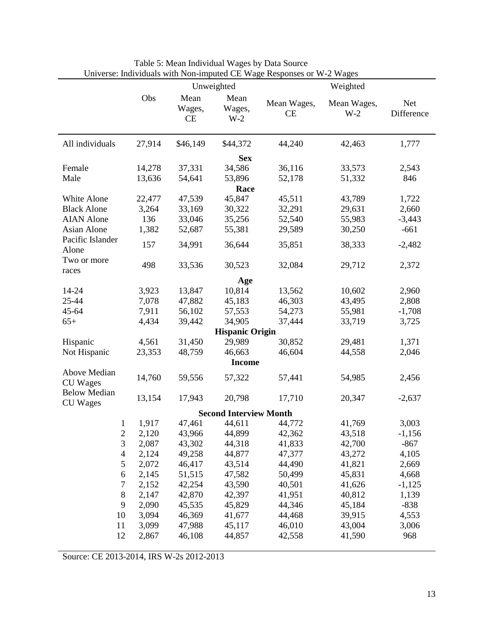|                                        |        |                             | Unweighted                    |                   | Weighted             |                   |
|----------------------------------------|--------|-----------------------------|-------------------------------|-------------------|----------------------|-------------------|
|                                        | Obs    | Mean<br>Wages,<br><b>CE</b> | Mean<br>Wages,<br>$W-2$       | Mean Wages,<br>CE | Mean Wages,<br>$W-2$ | Net<br>Difference |
| All individuals                        | 27,914 | \$46,149                    | \$44,372                      | 44,240            | 42,463               | 1,777             |
|                                        |        |                             | <b>Sex</b>                    |                   |                      |                   |
| Female                                 | 14,278 | 37,331                      | 34,586                        | 36,116            | 33,573               | 2,543             |
| Male                                   | 13,636 | 54,641                      | 53,896                        | 52,178            | 51,332               | 846               |
|                                        |        |                             | Race                          |                   |                      |                   |
| White Alone                            | 22,477 | 47,539                      | 45,847                        | 45,511            | 43,789               | 1,722             |
| <b>Black Alone</b>                     | 3,264  | 33,169                      | 30,322                        | 32,291            | 29,631               | 2,660             |
| <b>AIAN</b> Alone                      | 136    | 33,046                      | 35,256                        | 52,540            | 55,983               | $-3,443$          |
| Asian Alone                            | 1,382  | 52,687                      | 55,381                        | 29,589            | 30,250               | $-661$            |
| Pacific Islander<br>Alone              | 157    | 34,991                      | 36,644                        | 35,851            | 38,333               | $-2,482$          |
| Two or more<br>races                   | 498    | 33,536                      | 30,523                        | 32,084            | 29,712               | 2,372             |
|                                        |        |                             | Age                           |                   |                      |                   |
| 14-24                                  | 3,923  | 13,847                      | 10,814                        | 13,562            | 10,602               | 2,960             |
| 25-44                                  | 7,078  | 47,882                      | 45,183                        | 46,303            | 43,495               | 2,808             |
| 45-64                                  | 7,911  | 56,102                      | 57,553                        | 54,273            | 55,981               | $-1,708$          |
| $65+$                                  | 4,434  | 39,442                      | 34,905                        | 37,444            | 33,719               | 3,725             |
|                                        |        |                             | <b>Hispanic Origin</b>        |                   |                      |                   |
| Hispanic                               | 4,561  | 31,450                      | 29,989                        | 30,852            | 29,481               | 1,371             |
| Not Hispanic                           | 23,353 | 48,759                      | 46,663                        | 46,604            | 44,558               | 2,046             |
|                                        |        |                             | <b>Income</b>                 |                   |                      |                   |
| Above Median<br><b>CU</b> Wages        | 14,760 | 59,556                      | 57,322                        | 57,441            | 54,985               | 2,456             |
| <b>Below Median</b><br><b>CU</b> Wages | 13,154 | 17,943                      | 20,798                        | 17,710            | 20,347               | $-2,637$          |
|                                        |        |                             | <b>Second Interview Month</b> |                   |                      |                   |
| 1                                      | 1,917  | 47,461                      | 44,611                        | 44,772            | 41,769               | 3,003             |
| $\overline{2}$                         | 2,120  | 43,966                      | 44,899                        | 42,362            | 43,518               | $-1,156$          |
| 3                                      | 2,087  | 43,302                      | 44,318                        | 41,833            | 42,700               | $-867$            |
| $\overline{\mathcal{A}}$               | 2,124  | 49,258                      | 44,877                        | 47,377            | 43,272               | 4,105             |
| 5                                      | 2,072  | 46,417                      | 43,514                        | 44,490            | 41,821               | 2,669             |
| 6                                      | 2,145  | 51,515                      | 47,582                        | 50,499            | 45,831               | 4,668             |
| 7                                      | 2,152  | 42,254                      | 43,590                        | 40,501            | 41,626               | $-1,125$          |
| $\,8\,$                                | 2,147  | 42,870                      | 42,397                        | 41,951            | 40,812               | 1,139             |
| 9                                      | 2,090  | 45,535                      | 45,829                        | 44,346            | 45,184               | $-838$            |
| 10                                     | 3,094  | 46,369                      | 41,677                        | 44,468            | 39,915               | 4,553             |
| 11                                     | 3,099  | 47,988                      | 45,117                        | 46,010            | 43,004               | 3,006             |
| 12                                     | 2,867  | 46,108                      | 44,857                        | 42,558            | 41,590               | 968               |

Table 5: Mean Individual Wages by Data Source Universe: Individuals with Non-imputed CE Wage Responses or W-2 Wages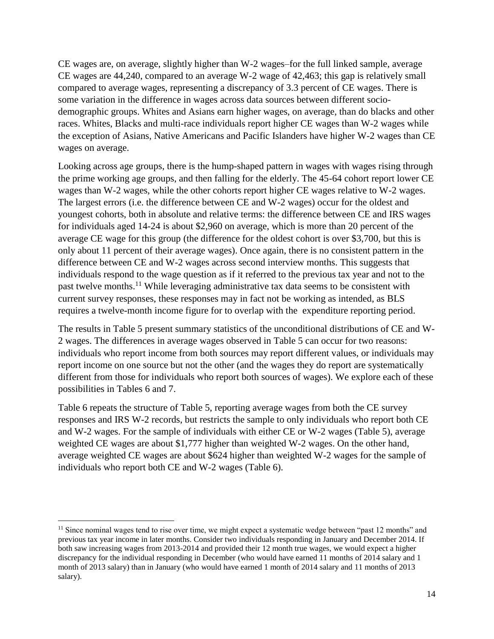CE wages are, on average, slightly higher than W-2 wages–for the full linked sample, average CE wages are 44,240, compared to an average W-2 wage of 42,463; this gap is relatively small compared to average wages, representing a discrepancy of 3.3 percent of CE wages. There is some variation in the difference in wages across data sources between different sociodemographic groups. Whites and Asians earn higher wages, on average, than do blacks and other races. Whites, Blacks and multi-race individuals report higher CE wages than W-2 wages while the exception of Asians, Native Americans and Pacific Islanders have higher W-2 wages than CE wages on average.

Looking across age groups, there is the hump-shaped pattern in wages with wages rising through the prime working age groups, and then falling for the elderly. The 45-64 cohort report lower CE wages than W-2 wages, while the other cohorts report higher CE wages relative to W-2 wages. The largest errors (i.e. the difference between CE and W-2 wages) occur for the oldest and youngest cohorts, both in absolute and relative terms: the difference between CE and IRS wages for individuals aged 14-24 is about \$2,960 on average, which is more than 20 percent of the average CE wage for this group (the difference for the oldest cohort is over \$3,700, but this is only about 11 percent of their average wages). Once again, there is no consistent pattern in the difference between CE and W-2 wages across second interview months. This suggests that individuals respond to the wage question as if it referred to the previous tax year and not to the past twelve months.<sup>11</sup> While leveraging administrative tax data seems to be consistent with current survey responses, these responses may in fact not be working as intended, as BLS requires a twelve-month income figure for to overlap with the expenditure reporting period.

The results in Table 5 present summary statistics of the unconditional distributions of CE and W-2 wages. The differences in average wages observed in Table 5 can occur for two reasons: individuals who report income from both sources may report different values, or individuals may report income on one source but not the other (and the wages they do report are systematically different from those for individuals who report both sources of wages). We explore each of these possibilities in Tables 6 and 7.

Table 6 repeats the structure of Table 5, reporting average wages from both the CE survey responses and IRS W-2 records, but restricts the sample to only individuals who report both CE and W-2 wages. For the sample of individuals with either CE or W-2 wages (Table 5), average weighted CE wages are about \$1,777 higher than weighted W-2 wages. On the other hand, average weighted CE wages are about \$624 higher than weighted W-2 wages for the sample of individuals who report both CE and W-2 wages (Table 6).

l

<sup>&</sup>lt;sup>11</sup> Since nominal wages tend to rise over time, we might expect a systematic wedge between "past 12 months" and previous tax year income in later months. Consider two individuals responding in January and December 2014. If both saw increasing wages from 2013-2014 and provided their 12 month true wages, we would expect a higher discrepancy for the individual responding in December (who would have earned 11 months of 2014 salary and 1 month of 2013 salary) than in January (who would have earned 1 month of 2014 salary and 11 months of 2013 salary).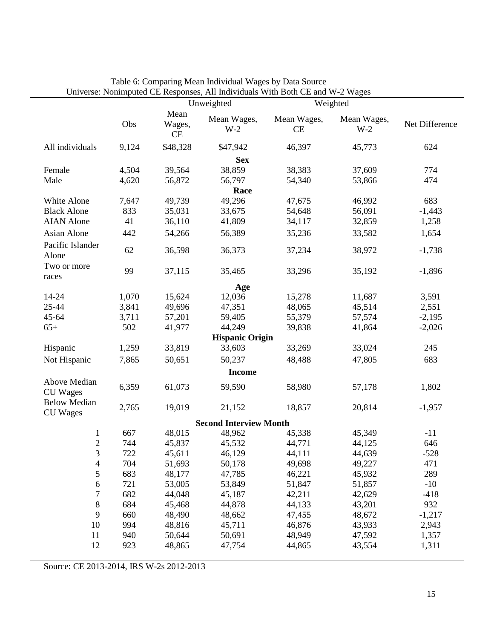|                                        |       |                      | $\sigma$ and $\sigma$ and $\sigma$ and $\sigma$ and $\sigma$ and $\sigma$ and $\sigma$ and $\sigma$ and $\sigma$ and $\sigma$ and $\sigma$<br>Unweighted |                   | Weighted             |                |
|----------------------------------------|-------|----------------------|----------------------------------------------------------------------------------------------------------------------------------------------------------|-------------------|----------------------|----------------|
|                                        | Obs   | Mean<br>Wages,<br>CE | Mean Wages,<br>$W-2$                                                                                                                                     | Mean Wages,<br>CE | Mean Wages,<br>$W-2$ | Net Difference |
| All individuals                        | 9,124 | \$48,328             | \$47,942                                                                                                                                                 | 46,397            | 45,773               | 624            |
|                                        |       |                      | <b>Sex</b>                                                                                                                                               |                   |                      |                |
| Female                                 | 4,504 | 39,564               | 38,859                                                                                                                                                   | 38,383            | 37,609               | 774            |
| Male                                   | 4,620 | 56,872               | 56,797                                                                                                                                                   | 54,340            | 53,866               | 474            |
|                                        |       |                      | Race                                                                                                                                                     |                   |                      |                |
| White Alone                            | 7,647 | 49,739               | 49,296                                                                                                                                                   | 47,675            | 46,992               | 683            |
| <b>Black Alone</b>                     | 833   | 35,031               | 33,675                                                                                                                                                   | 54,648            | 56,091               | $-1,443$       |
| <b>AIAN</b> Alone                      | 41    | 36,110               | 41,809                                                                                                                                                   | 34,117            | 32,859               | 1,258          |
| Asian Alone                            | 442   | 54,266               | 56,389                                                                                                                                                   | 35,236            | 33,582               | 1,654          |
| Pacific Islander<br>Alone              | 62    | 36,598               | 36,373                                                                                                                                                   | 37,234            | 38,972               | $-1,738$       |
| Two or more<br>races                   | 99    | 37,115               | 35,465                                                                                                                                                   | 33,296            | 35,192               | $-1,896$       |
|                                        |       |                      | Age                                                                                                                                                      |                   |                      |                |
| 14-24                                  | 1,070 | 15,624               | 12,036                                                                                                                                                   | 15,278            | 11,687               | 3,591          |
| 25-44                                  | 3,841 | 49,696               | 47,351                                                                                                                                                   | 48,065            | 45,514               | 2,551          |
| 45-64                                  | 3,711 | 57,201               | 59,405                                                                                                                                                   | 55,379            | 57,574               | $-2,195$       |
| $65+$                                  | 502   | 41,977               | 44,249                                                                                                                                                   | 39,838            | 41,864               | $-2,026$       |
|                                        |       |                      | <b>Hispanic Origin</b>                                                                                                                                   |                   |                      |                |
| Hispanic                               | 1,259 | 33,819               | 33,603                                                                                                                                                   | 33,269            | 33,024               | 245            |
| Not Hispanic                           | 7,865 | 50,651               | 50,237                                                                                                                                                   | 48,488            | 47,805               | 683            |
|                                        |       |                      | <b>Income</b>                                                                                                                                            |                   |                      |                |
| Above Median<br><b>CU</b> Wages        | 6,359 | 61,073               | 59,590                                                                                                                                                   | 58,980            | 57,178               | 1,802          |
| <b>Below Median</b><br><b>CU</b> Wages | 2,765 | 19,019               | 21,152                                                                                                                                                   | 18,857            | 20,814               | $-1,957$       |
|                                        |       |                      | <b>Second Interview Month</b>                                                                                                                            |                   |                      |                |
| $\mathbf{1}$                           | 667   | 48,015               | 48,962                                                                                                                                                   | 45,338            | 45,349               | $-11$          |
| $\mathbf{2}$                           | 744   | 45,837               | 45,532                                                                                                                                                   | 44,771            | 44,125               | 646            |
| 3                                      | 722   | 45,611               | 46,129                                                                                                                                                   | 44,111            | 44,639               | $-528$         |
| 4                                      | 704   | 51,693               | 50,178                                                                                                                                                   | 49,698            | 49,227               | 471            |
| 5                                      | 683   | 48,177               | 47,785                                                                                                                                                   | 46,221            | 45,932               | 289            |
| 6                                      | 721   | 53,005               | 53,849                                                                                                                                                   | 51,847            | 51,857               | $-10$          |
| 7                                      | 682   | 44,048               | 45,187                                                                                                                                                   | 42,211            | 42,629               | $-418$         |
| $8\,$                                  | 684   | 45,468               | 44,878                                                                                                                                                   | 44,133            | 43,201               | 932            |
| 9                                      | 660   | 48,490               | 48,662                                                                                                                                                   | 47,455            | 48,672               | $-1,217$       |
| 10                                     | 994   | 48,816               | 45,711                                                                                                                                                   | 46,876            | 43,933               | 2,943          |
| 11                                     | 940   | 50,644               | 50,691                                                                                                                                                   | 48,949            | 47,592               | 1,357          |
| 12                                     | 923   | 48,865               | 47,754                                                                                                                                                   | 44,865            | 43,554               | 1,311          |

| Table 6: Comparing Mean Individual Wages by Data Source                       |  |
|-------------------------------------------------------------------------------|--|
| Universe: Nonimputed CE Responses, All Individuals With Both CE and W-2 Wages |  |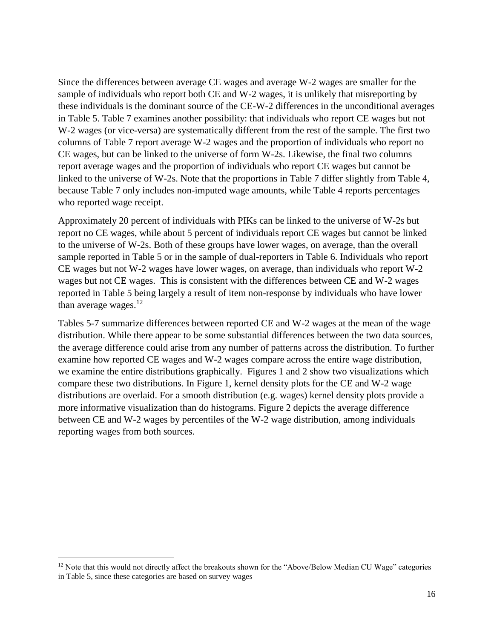Since the differences between average CE wages and average W-2 wages are smaller for the sample of individuals who report both CE and W-2 wages, it is unlikely that misreporting by these individuals is the dominant source of the CE-W-2 differences in the unconditional averages in Table 5. Table 7 examines another possibility: that individuals who report CE wages but not W-2 wages (or vice-versa) are systematically different from the rest of the sample. The first two columns of Table 7 report average W-2 wages and the proportion of individuals who report no CE wages, but can be linked to the universe of form W-2s. Likewise, the final two columns report average wages and the proportion of individuals who report CE wages but cannot be linked to the universe of W-2s. Note that the proportions in Table 7 differ slightly from Table 4, because Table 7 only includes non-imputed wage amounts, while Table 4 reports percentages who reported wage receipt.

Approximately 20 percent of individuals with PIKs can be linked to the universe of W-2s but report no CE wages, while about 5 percent of individuals report CE wages but cannot be linked to the universe of W-2s. Both of these groups have lower wages, on average, than the overall sample reported in Table 5 or in the sample of dual-reporters in Table 6. Individuals who report CE wages but not W-2 wages have lower wages, on average, than individuals who report W-2 wages but not CE wages. This is consistent with the differences between CE and W-2 wages reported in Table 5 being largely a result of item non-response by individuals who have lower than average wages. $12$ 

Tables 5-7 summarize differences between reported CE and W-2 wages at the mean of the wage distribution. While there appear to be some substantial differences between the two data sources, the average difference could arise from any number of patterns across the distribution. To further examine how reported CE wages and W-2 wages compare across the entire wage distribution, we examine the entire distributions graphically. Figures 1 and 2 show two visualizations which compare these two distributions. In Figure 1, kernel density plots for the CE and W-2 wage distributions are overlaid. For a smooth distribution (e.g. wages) kernel density plots provide a more informative visualization than do histograms. Figure 2 depicts the average difference between CE and W-2 wages by percentiles of the W-2 wage distribution, among individuals reporting wages from both sources.

 $\overline{\phantom{a}}$ 

 $12$  Note that this would not directly affect the breakouts shown for the "Above/Below Median CU Wage" categories in Table 5, since these categories are based on survey wages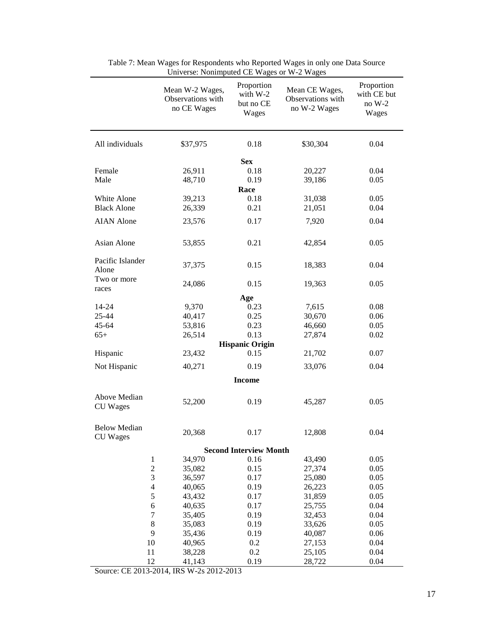|                                        | Mean W-2 Wages,<br>Observations with<br>no CE Wages | Proportion<br>with $W-2$<br>but no CE<br>Wages | Mean CE Wages,<br>Observations with<br>no W-2 Wages | Proportion<br>with CE but<br>$noW-2$<br>Wages |
|----------------------------------------|-----------------------------------------------------|------------------------------------------------|-----------------------------------------------------|-----------------------------------------------|
| All individuals                        | \$37,975                                            | 0.18                                           | \$30,304                                            | 0.04                                          |
|                                        |                                                     | <b>Sex</b>                                     |                                                     |                                               |
| Female                                 | 26,911                                              | 0.18                                           | 20,227                                              | 0.04                                          |
| Male                                   | 48,710                                              | 0.19                                           | 39,186                                              | 0.05                                          |
|                                        |                                                     | Race                                           |                                                     |                                               |
| White Alone                            | 39,213                                              | 0.18                                           | 31,038                                              | 0.05                                          |
| <b>Black Alone</b>                     | 26,339                                              | 0.21                                           | 21,051                                              | 0.04                                          |
| <b>AIAN</b> Alone                      | 23,576                                              | 0.17                                           | 7,920                                               | 0.04                                          |
|                                        |                                                     |                                                |                                                     |                                               |
| Asian Alone                            | 53,855                                              | 0.21                                           | 42,854                                              | 0.05                                          |
| Pacific Islander<br>Alone              | 37,375                                              | 0.15                                           | 18,383                                              | 0.04                                          |
| Two or more                            | 24,086                                              | 0.15                                           | 19,363                                              | 0.05                                          |
| races                                  |                                                     | Age                                            |                                                     |                                               |
| 14-24                                  | 9,370                                               | 0.23                                           | 7,615                                               | 0.08                                          |
| 25-44                                  | 40,417                                              | 0.25                                           | 30,670                                              | 0.06                                          |
| 45-64                                  |                                                     |                                                |                                                     |                                               |
| $65+$                                  | 53,816                                              | 0.23<br>0.13                                   | 46,660                                              | 0.05                                          |
|                                        | 26,514                                              |                                                | 27,874                                              | 0.02                                          |
| Hispanic                               | 23,432                                              | <b>Hispanic Origin</b><br>0.15                 | 21,702                                              | 0.07                                          |
|                                        |                                                     |                                                |                                                     |                                               |
| Not Hispanic                           | 40,271                                              | 0.19                                           | 33,076                                              | 0.04                                          |
|                                        |                                                     | <b>Income</b>                                  |                                                     |                                               |
| Above Median<br><b>CU</b> Wages        | 52,200                                              | 0.19                                           | 45,287                                              | 0.05                                          |
| <b>Below Median</b><br><b>CU</b> Wages | 20,368                                              | 0.17                                           | 12,808                                              | 0.04                                          |
|                                        |                                                     | <b>Second Interview Month</b>                  |                                                     |                                               |
| $\,1$                                  | 34,970                                              | 0.16                                           | 43,490                                              | 0.05                                          |
| $\overline{c}$                         | 35,082                                              | 0.15                                           | 27,374                                              | 0.05                                          |
| $\mathfrak 3$                          | 36,597                                              | 0.17                                           | 25,080                                              | 0.05                                          |
| $\overline{4}$                         | 40,065                                              | 0.19                                           | 26,223                                              | 0.05                                          |
| 5                                      | 43,432                                              | 0.17                                           | 31,859                                              | 0.05                                          |
| 6                                      | 40,635                                              | 0.17                                           | 25,755                                              | 0.04                                          |
| $\tau$                                 | 35,405                                              | 0.19                                           | 32,453                                              | 0.04                                          |
| $\,8\,$                                | 35,083                                              | 0.19                                           | 33,626                                              | 0.05                                          |
| 9                                      | 35,436                                              | 0.19                                           | 40,087                                              | 0.06                                          |
| 10                                     | 40,965                                              | 0.2                                            | 27,153                                              | 0.04                                          |
| 11                                     | 38,228                                              | 0.2                                            | 25,105                                              | 0.04                                          |
| 12                                     | 41,143                                              | 0.19                                           | 28,722                                              | 0.04                                          |

| Table 7: Mean Wages for Respondents who Reported Wages in only one Data Source |
|--------------------------------------------------------------------------------|
| Universe: Nonimputed CE Wages or W-2 Wages                                     |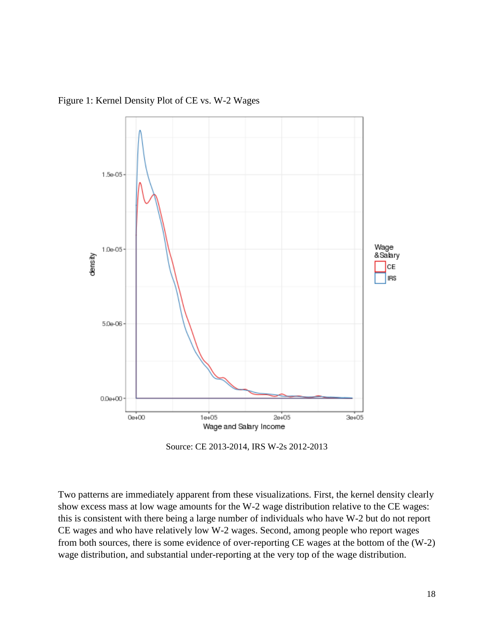

Figure 1: Kernel Density Plot of CE vs. W-2 Wages

Source: CE 2013-2014, IRS W-2s 2012-2013

Two patterns are immediately apparent from these visualizations. First, the kernel density clearly show excess mass at low wage amounts for the W-2 wage distribution relative to the CE wages: this is consistent with there being a large number of individuals who have W-2 but do not report CE wages and who have relatively low W-2 wages. Second, among people who report wages from both sources, there is some evidence of over-reporting CE wages at the bottom of the (W-2) wage distribution, and substantial under-reporting at the very top of the wage distribution.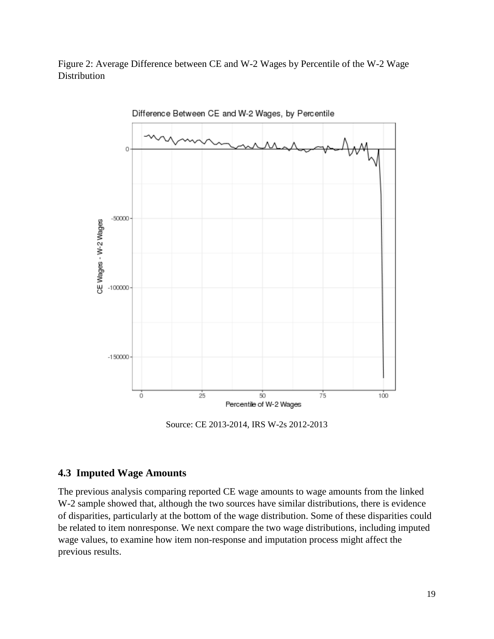Figure 2: Average Difference between CE and W-2 Wages by Percentile of the W-2 Wage **Distribution** 



Source: CE 2013-2014, IRS W-2s 2012-2013

# **4.3 Imputed Wage Amounts**

The previous analysis comparing reported CE wage amounts to wage amounts from the linked W-2 sample showed that, although the two sources have similar distributions, there is evidence of disparities, particularly at the bottom of the wage distribution. Some of these disparities could be related to item nonresponse. We next compare the two wage distributions, including imputed wage values, to examine how item non-response and imputation process might affect the previous results.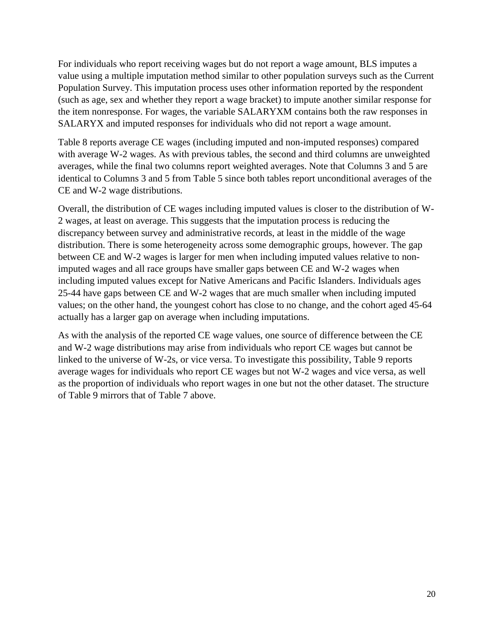For individuals who report receiving wages but do not report a wage amount, BLS imputes a value using a multiple imputation method similar to other population surveys such as the Current Population Survey. This imputation process uses other information reported by the respondent (such as age, sex and whether they report a wage bracket) to impute another similar response for the item nonresponse. For wages, the variable SALARYXM contains both the raw responses in SALARYX and imputed responses for individuals who did not report a wage amount.

Table 8 reports average CE wages (including imputed and non-imputed responses) compared with average W-2 wages. As with previous tables, the second and third columns are unweighted averages, while the final two columns report weighted averages. Note that Columns 3 and 5 are identical to Columns 3 and 5 from Table 5 since both tables report unconditional averages of the CE and W-2 wage distributions.

Overall, the distribution of CE wages including imputed values is closer to the distribution of W-2 wages, at least on average. This suggests that the imputation process is reducing the discrepancy between survey and administrative records, at least in the middle of the wage distribution. There is some heterogeneity across some demographic groups, however. The gap between CE and W-2 wages is larger for men when including imputed values relative to nonimputed wages and all race groups have smaller gaps between CE and W-2 wages when including imputed values except for Native Americans and Pacific Islanders. Individuals ages 25-44 have gaps between CE and W-2 wages that are much smaller when including imputed values; on the other hand, the youngest cohort has close to no change, and the cohort aged 45-64 actually has a larger gap on average when including imputations.

As with the analysis of the reported CE wage values, one source of difference between the CE and W-2 wage distributions may arise from individuals who report CE wages but cannot be linked to the universe of W-2s, or vice versa. To investigate this possibility, Table 9 reports average wages for individuals who report CE wages but not W-2 wages and vice versa, as well as the proportion of individuals who report wages in one but not the other dataset. The structure of Table 9 mirrors that of Table 7 above.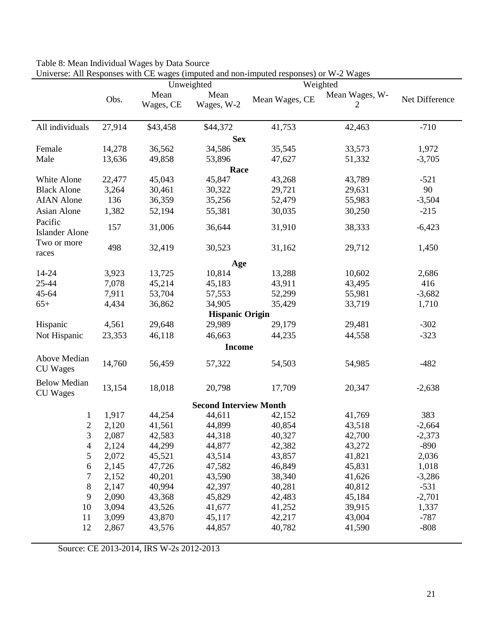| Table 8: Mean Individual Wages by Data Source                                          |
|----------------------------------------------------------------------------------------|
| Universe: All Responses with CE wages (imputed and non-imputed responses) or W-2 Wages |

|                                        |        | $\sigma$ converse. An inesponses with $\sigma$ wages (imputed and non-imputed responses) of $w$ -2 $w$ ages<br>Unweighted |                               | Weighted       |                     |                |
|----------------------------------------|--------|---------------------------------------------------------------------------------------------------------------------------|-------------------------------|----------------|---------------------|----------------|
|                                        | Obs.   | Mean<br>Wages, CE                                                                                                         | Mean<br>Wages, W-2            | Mean Wages, CE | Mean Wages, W-<br>2 | Net Difference |
| All individuals                        | 27,914 | \$43,458                                                                                                                  | \$44,372                      | 41,753         | 42,463              | $-710$         |
|                                        |        |                                                                                                                           | <b>Sex</b>                    |                |                     |                |
| Female                                 | 14,278 | 36,562                                                                                                                    | 34,586                        | 35,545         | 33,573              | 1,972          |
| Male                                   | 13,636 | 49,858                                                                                                                    | 53,896                        | 47,627         | 51,332              | $-3,705$       |
|                                        |        |                                                                                                                           | Race                          |                |                     |                |
| White Alone                            | 22,477 | 45,043                                                                                                                    | 45,847                        | 43,268         | 43,789              | $-521$         |
| <b>Black Alone</b>                     | 3,264  | 30,461                                                                                                                    | 30,322                        | 29,721         | 29,631              | 90             |
| <b>AIAN</b> Alone                      | 136    | 36,359                                                                                                                    | 35,256                        | 52,479         | 55,983              | $-3,504$       |
| <b>Asian Alone</b>                     | 1,382  | 52,194                                                                                                                    | 55,381                        | 30,035         | 30,250              | $-215$         |
| Pacific<br><b>Islander Alone</b>       | 157    | 31,006                                                                                                                    | 36,644                        | 31,910         | 38,333              | $-6,423$       |
| Two or more<br>races                   | 498    | 32,419                                                                                                                    | 30,523                        | 31,162         | 29,712              | 1,450          |
|                                        |        |                                                                                                                           | Age                           |                |                     |                |
| 14-24                                  | 3,923  | 13,725                                                                                                                    | 10,814                        | 13,288         | 10,602              | 2,686          |
| 25-44                                  | 7,078  | 45,214                                                                                                                    | 45,183                        | 43,911         | 43,495              | 416            |
| 45-64                                  | 7,911  | 53,704                                                                                                                    | 57,553                        | 52,299         | 55,981              | $-3,682$       |
| $65+$                                  | 4,434  | 36,862                                                                                                                    | 34,905                        | 35,429         | 33,719              | 1,710          |
|                                        |        |                                                                                                                           | <b>Hispanic Origin</b>        |                |                     |                |
| Hispanic                               | 4,561  | 29,648                                                                                                                    | 29,989                        | 29,179         | 29,481              | $-302$         |
| Not Hispanic                           | 23,353 | 46,118                                                                                                                    | 46,663                        | 44,235         | 44,558              | $-323$         |
|                                        |        |                                                                                                                           | <b>Income</b>                 |                |                     |                |
| Above Median<br><b>CU</b> Wages        | 14,760 | 56,459                                                                                                                    | 57,322                        | 54,503         | 54,985              | $-482$         |
| <b>Below Median</b><br><b>CU</b> Wages | 13,154 | 18,018                                                                                                                    | 20,798                        | 17,709         | 20,347              | $-2,638$       |
|                                        |        |                                                                                                                           | <b>Second Interview Month</b> |                |                     |                |
| 1                                      | 1,917  | 44,254                                                                                                                    | 44,611                        | 42,152         | 41,769              | 383            |
| $\overline{c}$                         | 2,120  | 41,561                                                                                                                    | 44,899                        | 40,854         | 43,518              | $-2,664$       |
| 3                                      | 2,087  | 42,583                                                                                                                    | 44,318                        | 40,327         | 42,700              | $-2,373$       |
| 4                                      | 2,124  | 44,299                                                                                                                    | 44,877                        | 42,382         | 43,272              | $-890$         |
| 5                                      | 2,072  | 45,521                                                                                                                    | 43,514                        | 43,857         | 41,821              | 2,036          |
| 6                                      | 2,145  | 47,726                                                                                                                    | 47,582                        | 46,849         | 45,831              | 1,018          |
| 7                                      | 2,152  | 40,201                                                                                                                    | 43,590                        | 38,340         | 41,626              | $-3,286$       |
| 8                                      | 2,147  | 40,994                                                                                                                    | 42,397                        | 40,281         | 40,812              | $-531$         |
| 9                                      | 2,090  | 43,368                                                                                                                    | 45,829                        | 42,483         | 45,184              | $-2,701$       |
| 10                                     | 3,094  | 43,526                                                                                                                    | 41,677                        | 41,252         | 39,915              | 1,337          |
| 11                                     | 3,099  | 43,870                                                                                                                    | 45,117                        | 42,217         | 43,004              | $-787$         |
| 12                                     | 2,867  | 43,576                                                                                                                    | 44,857                        | 40,782         | 41,590              | $-808$         |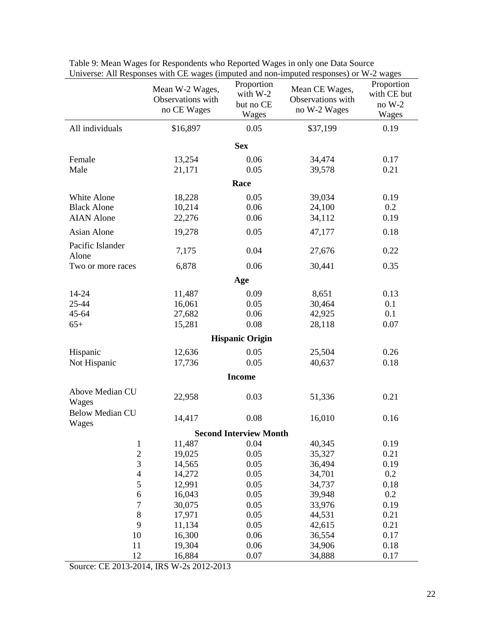|                                 | Mean W-2 Wages,<br>Observations with<br>no CE Wages | Proportion<br>with W-2<br>but no CE<br>Wages | Mean CE Wages,<br>Observations with<br>no W-2 Wages | Proportion<br>with CE but<br>no W-2<br>Wages |  |  |  |  |
|---------------------------------|-----------------------------------------------------|----------------------------------------------|-----------------------------------------------------|----------------------------------------------|--|--|--|--|
| All individuals                 | \$16,897                                            | 0.05                                         | \$37,199                                            | 0.19                                         |  |  |  |  |
| <b>Sex</b>                      |                                                     |                                              |                                                     |                                              |  |  |  |  |
| Female                          | 13,254                                              | 0.06                                         | 34,474                                              | 0.17                                         |  |  |  |  |
| Male                            | 21,171                                              | 0.05                                         | 39,578                                              | 0.21                                         |  |  |  |  |
|                                 |                                                     | Race                                         |                                                     |                                              |  |  |  |  |
| White Alone                     | 18,228                                              | 0.05                                         | 39,034                                              | 0.19                                         |  |  |  |  |
| <b>Black Alone</b>              | 10,214                                              | 0.06                                         | 24,100                                              | 0.2                                          |  |  |  |  |
| <b>AIAN</b> Alone               | 22,276                                              | 0.06                                         | 34,112                                              | 0.19                                         |  |  |  |  |
| Asian Alone                     | 19,278                                              | 0.05                                         | 47,177                                              | 0.18                                         |  |  |  |  |
| Pacific Islander<br>Alone       | 7,175                                               | 0.04                                         | 27,676                                              | 0.22                                         |  |  |  |  |
| Two or more races               | 6,878                                               | 0.06                                         | 30,441                                              | 0.35                                         |  |  |  |  |
| Age                             |                                                     |                                              |                                                     |                                              |  |  |  |  |
| 14-24                           | 11,487                                              | 0.09                                         | 8,651                                               | 0.13                                         |  |  |  |  |
| 25-44                           | 16,061                                              | 0.05                                         | 30,464                                              | 0.1                                          |  |  |  |  |
| 45-64                           | 27,682                                              | 0.06                                         | 42,925                                              | 0.1                                          |  |  |  |  |
| $65+$                           | 15,281                                              | 0.08                                         | 28,118                                              | 0.07                                         |  |  |  |  |
|                                 |                                                     | <b>Hispanic Origin</b>                       |                                                     |                                              |  |  |  |  |
| Hispanic                        | 12,636                                              | 0.05                                         | 25,504                                              | 0.26                                         |  |  |  |  |
| Not Hispanic                    | 17,736                                              | 0.05                                         | 40,637                                              | 0.18                                         |  |  |  |  |
|                                 |                                                     | <b>Income</b>                                |                                                     |                                              |  |  |  |  |
| Above Median CU<br>Wages        | 22,958                                              | 0.03                                         | 51,336                                              | 0.21                                         |  |  |  |  |
| <b>Below Median CU</b><br>Wages | 14,417                                              | 0.08                                         | 16,010                                              | 0.16                                         |  |  |  |  |
|                                 |                                                     | <b>Second Interview Month</b>                |                                                     |                                              |  |  |  |  |
| $\mathbf{1}$                    | 11,487                                              | 0.04                                         | 40,345                                              | 0.19                                         |  |  |  |  |
| $\overline{c}$                  | 19,025                                              | 0.05                                         | 35,327                                              | 0.21                                         |  |  |  |  |
| 3                               | 14,565                                              | 0.05                                         | 36,494                                              | 0.19                                         |  |  |  |  |
| $\overline{4}$                  | 14,272                                              | 0.05                                         | 34,701                                              | 0.2                                          |  |  |  |  |
| 5                               | 12,991                                              | 0.05                                         | 34,737                                              | 0.18                                         |  |  |  |  |
| $\sqrt{6}$                      | 16,043                                              | 0.05                                         | 39,948                                              | 0.2                                          |  |  |  |  |
| $\overline{7}$                  | 30,075                                              | 0.05                                         | 33,976                                              | 0.19                                         |  |  |  |  |
| 8                               | 17,971                                              | 0.05                                         | 44,531                                              | 0.21                                         |  |  |  |  |
| 9                               | 11,134                                              | 0.05                                         | 42,615                                              | 0.21                                         |  |  |  |  |
| 10                              | 16,300                                              | 0.06                                         | 36,554                                              | 0.17                                         |  |  |  |  |
| 11                              | 19,304                                              | 0.06                                         | 34,906                                              | 0.18                                         |  |  |  |  |
| 12                              | 16,884                                              | 0.07                                         | 34,888                                              | 0.17                                         |  |  |  |  |

Table 9: Mean Wages for Respondents who Reported Wages in only one Data Source Universe: All Responses with CE wages (imputed and non-imputed responses) or W-2 wages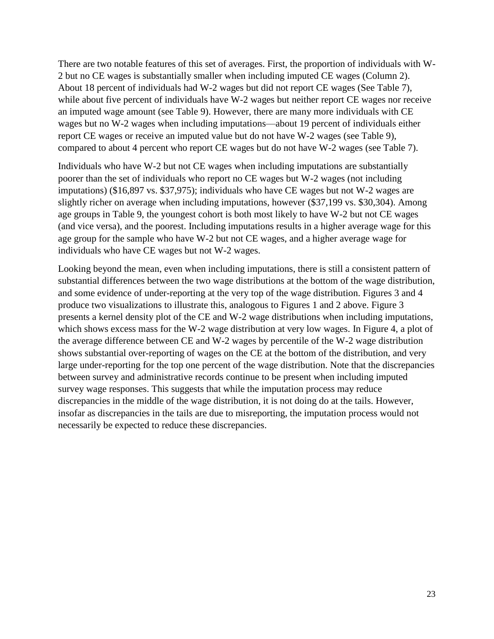There are two notable features of this set of averages. First, the proportion of individuals with W-2 but no CE wages is substantially smaller when including imputed CE wages (Column 2). About 18 percent of individuals had W-2 wages but did not report CE wages (See Table 7), while about five percent of individuals have W-2 wages but neither report CE wages nor receive an imputed wage amount (see Table 9). However, there are many more individuals with CE wages but no W-2 wages when including imputations—about 19 percent of individuals either report CE wages or receive an imputed value but do not have W-2 wages (see Table 9), compared to about 4 percent who report CE wages but do not have W-2 wages (see Table 7).

Individuals who have W-2 but not CE wages when including imputations are substantially poorer than the set of individuals who report no CE wages but W-2 wages (not including imputations) (\$16,897 vs. \$37,975); individuals who have CE wages but not W-2 wages are slightly richer on average when including imputations, however (\$37,199 vs. \$30,304). Among age groups in Table 9, the youngest cohort is both most likely to have W-2 but not CE wages (and vice versa), and the poorest. Including imputations results in a higher average wage for this age group for the sample who have W-2 but not CE wages, and a higher average wage for individuals who have CE wages but not W-2 wages.

Looking beyond the mean, even when including imputations, there is still a consistent pattern of substantial differences between the two wage distributions at the bottom of the wage distribution, and some evidence of under-reporting at the very top of the wage distribution. Figures 3 and 4 produce two visualizations to illustrate this, analogous to Figures 1 and 2 above. Figure 3 presents a kernel density plot of the CE and W-2 wage distributions when including imputations, which shows excess mass for the W-2 wage distribution at very low wages. In Figure 4, a plot of the average difference between CE and W-2 wages by percentile of the W-2 wage distribution shows substantial over-reporting of wages on the CE at the bottom of the distribution, and very large under-reporting for the top one percent of the wage distribution. Note that the discrepancies between survey and administrative records continue to be present when including imputed survey wage responses. This suggests that while the imputation process may reduce discrepancies in the middle of the wage distribution, it is not doing do at the tails. However, insofar as discrepancies in the tails are due to misreporting, the imputation process would not necessarily be expected to reduce these discrepancies.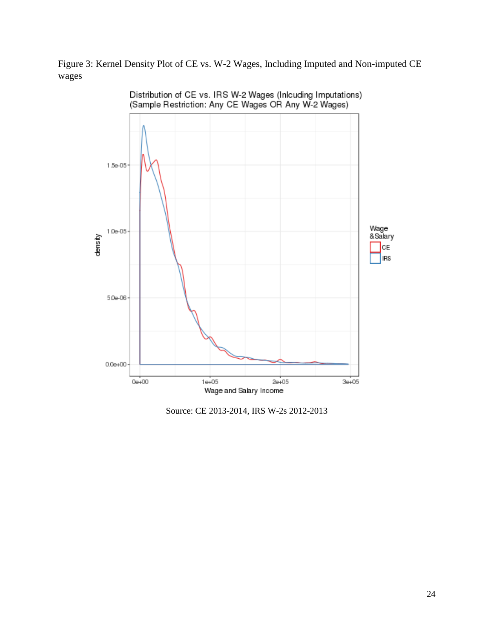Figure 3: Kernel Density Plot of CE vs. W-2 Wages, Including Imputed and Non-imputed CE wages



Source: CE 2013-2014, IRS W-2s 2012-2013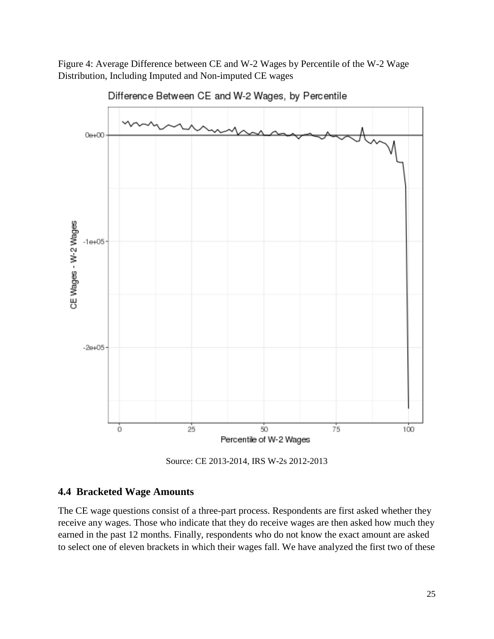Figure 4: Average Difference between CE and W-2 Wages by Percentile of the W-2 Wage Distribution, Including Imputed and Non-imputed CE wages



Difference Between CE and W-2 Wages, by Percentile

Source: CE 2013-2014, IRS W-2s 2012-2013

#### **4.4 Bracketed Wage Amounts**

The CE wage questions consist of a three-part process. Respondents are first asked whether they receive any wages. Those who indicate that they do receive wages are then asked how much they earned in the past 12 months. Finally, respondents who do not know the exact amount are asked to select one of eleven brackets in which their wages fall. We have analyzed the first two of these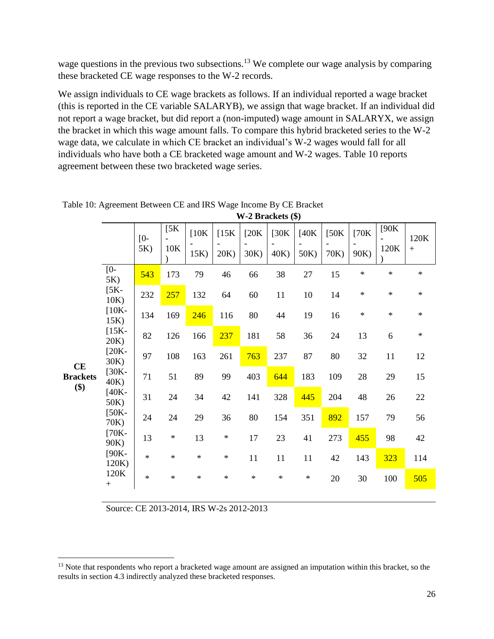wage questions in the previous two subsections.<sup>13</sup> We complete our wage analysis by comparing these bracketed CE wage responses to the W-2 records.

We assign individuals to CE wage brackets as follows. If an individual reported a wage bracket (this is reported in the CE variable SALARYB), we assign that wage bracket. If an individual did not report a wage bracket, but did report a (non-imputed) wage amount in SALARYX, we assign the bracket in which this wage amount falls. To compare this hybrid bracketed series to the W-2 wage data, we calculate in which CE bracket an individual's W-2 wages would fall for all individuals who have both a CE bracketed wage amount and W-2 wages. Table 10 reports agreement between these two bracketed wage series.

**W-2 Brackets (\$)**

|                        |                    | $[0 -$<br>5K) | [5K]<br>10K | [10K]<br>15K) | [15K]<br>20K) | [20K]<br>30K) | [30K]<br>40K) | [40K]<br>50K) | [50K]<br>70K) | [70K]<br>90K) | [90K]<br>120K | 120K<br>$+$ |
|------------------------|--------------------|---------------|-------------|---------------|---------------|---------------|---------------|---------------|---------------|---------------|---------------|-------------|
|                        | [0-<br>5K)         | 543           | 173         | 79            | 46            | 66            | 38            | $27\,$        | 15            | $\star$       | $\star$       | $\ast$      |
|                        | $[5K-$<br>10K)     | 232           | 257         | 132           | 64            | 60            | 11            | 10            | 14            | $\ast$        | $\ast$        | $\ast$      |
|                        | $[10K-$<br>$15K$ ) | 134           | 169         | 246           | 116           | 80            | 44            | 19            | 16            | $\ast$        | $\ast$        | $\ast$      |
|                        | $[15K-$<br>20K)    | 82            | 126         | 166           | 237           | 181           | 58            | 36            | 24            | 13            | 6             | $\ast$      |
| CE                     | $[20K-$<br>30K)    | 97            | 108         | 163           | 261           | 763           | 237           | 87            | 80            | 32            | 11            | 12          |
| <b>Brackets</b><br>\$) | $[30K-$<br>40K)    | 71            | 51          | 89            | 99            | 403           | 644           | 183           | 109           | 28            | 29            | 15          |
|                        | $[40K -$<br>50K)   | 31            | 24          | 34            | 42            | 141           | 328           | 445           | 204           | 48            | 26            | $22\,$      |
|                        | $[50K-$<br>70K)    | 24            | 24          | 29            | 36            | 80            | 154           | 351           | 892           | 157           | 79            | 56          |
|                        | $[70K-$<br>90K)    | 13            | $\ast$      | 13            | $\ast$        | 17            | 23            | 41            | 273           | 455           | 98            | 42          |
|                        | $[90K -$<br>120K   | $\star$       | $\ast$      | $\ast$        | $\ast$        | 11            | 11            | 11            | 42            | 143           | 323           | 114         |
|                        | 120K<br>$+$        | $\ast$        | $\ast$      | $\ast$        | $\ast$        | $\ast$        | $\ast$        | $\ast$        | 20            | 30            | 100           | 505         |

Table 10: Agreement Between CE and IRS Wage Income By CE Bracket

Source: CE 2013-2014, IRS W-2s 2012-2013

 $\overline{\phantom{a}}$ 

<sup>&</sup>lt;sup>13</sup> Note that respondents who report a bracketed wage amount are assigned an imputation within this bracket, so the results in section 4.3 indirectly analyzed these bracketed responses.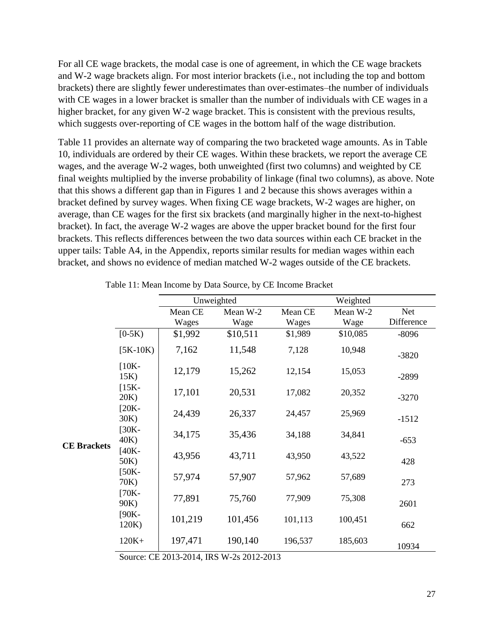For all CE wage brackets, the modal case is one of agreement, in which the CE wage brackets and W-2 wage brackets align. For most interior brackets (i.e., not including the top and bottom brackets) there are slightly fewer underestimates than over-estimates–the number of individuals with CE wages in a lower bracket is smaller than the number of individuals with CE wages in a higher bracket, for any given W-2 wage bracket. This is consistent with the previous results, which suggests over-reporting of CE wages in the bottom half of the wage distribution.

Table 11 provides an alternate way of comparing the two bracketed wage amounts. As in Table 10, individuals are ordered by their CE wages. Within these brackets, we report the average CE wages, and the average W-2 wages, both unweighted (first two columns) and weighted by CE final weights multiplied by the inverse probability of linkage (final two columns), as above. Note that this shows a different gap than in Figures 1 and 2 because this shows averages within a bracket defined by survey wages. When fixing CE wage brackets, W-2 wages are higher, on average, than CE wages for the first six brackets (and marginally higher in the next-to-highest bracket). In fact, the average W-2 wages are above the upper bracket bound for the first four brackets. This reflects differences between the two data sources within each CE bracket in the upper tails: Table A4, in the Appendix, reports similar results for median wages within each bracket, and shows no evidence of median matched W-2 wages outside of the CE brackets.

|                 |                    |         | Unweighted |         | Weighted |            |  |
|-----------------|--------------------|---------|------------|---------|----------|------------|--|
|                 |                    | Mean CE | Mean W-2   | Mean CE | Mean W-2 | Net        |  |
|                 |                    | Wages   | Wage       | Wages   | Wage     | Difference |  |
|                 | $[0-5K)$           | \$1,992 | \$10,511   | \$1,989 | \$10,085 | $-8096$    |  |
|                 | $[5K-10K)$         | 7,162   | 11,548     | 7,128   | 10,948   | $-3820$    |  |
|                 | $[10K-$<br>$15K$ ) | 12,179  | 15,262     | 12,154  | 15,053   | $-2899$    |  |
|                 | $[15K-$<br>20K)    | 17,101  | 20,531     | 17,082  | 20,352   | $-3270$    |  |
|                 | $[20K-$<br>30K)    | 24,439  | 26,337     | 24,457  | 25,969   | $-1512$    |  |
| <b>Brackets</b> | $[30K-$<br>40K)    | 34,175  | 35,436     | 34,188  | 34,841   | $-653$     |  |
|                 | $[40K -$<br>50K)   | 43,956  | 43,711     | 43,950  | 43,522   | 428        |  |
|                 | $[50K-$<br>70K)    | 57,974  | 57,907     | 57,962  | 57,689   | 273        |  |
|                 | $[70K -$<br>90K)   | 77,891  | 75,760     | 77,909  | 75,308   | 2601       |  |
|                 | $[90K -$<br>120K)  | 101,219 | 101,456    | 101,113 | 100,451  | 662        |  |
|                 | $120K+$            | 197,471 | 190,140    | 196,537 | 185,603  | 10934      |  |

Table 11: Mean Income by Data Source, by CE Income Bracket

Source: CE 2013-2014, IRS W-2s 2012-2013

**CE Brackets**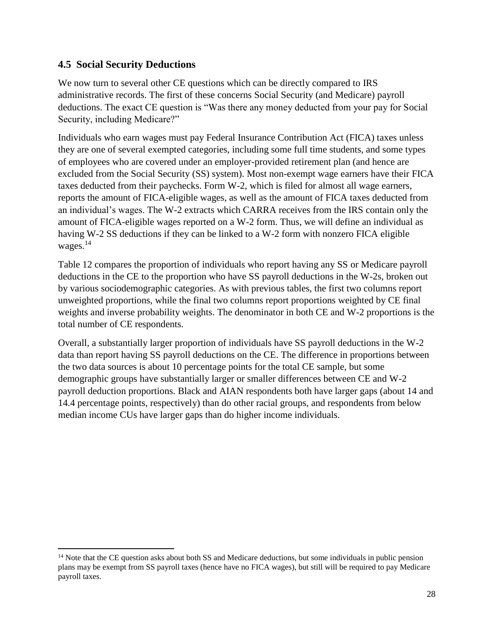### **4.5 Social Security Deductions**

We now turn to several other CE questions which can be directly compared to IRS administrative records. The first of these concerns Social Security (and Medicare) payroll deductions. The exact CE question is "Was there any money deducted from your pay for Social Security, including Medicare?"

Individuals who earn wages must pay Federal Insurance Contribution Act (FICA) taxes unless they are one of several exempted categories, including some full time students, and some types of employees who are covered under an employer-provided retirement plan (and hence are excluded from the Social Security (SS) system). Most non-exempt wage earners have their FICA taxes deducted from their paychecks. Form W-2, which is filed for almost all wage earners, reports the amount of FICA-eligible wages, as well as the amount of FICA taxes deducted from an individual's wages. The W-2 extracts which CARRA receives from the IRS contain only the amount of FICA-eligible wages reported on a W-2 form. Thus, we will define an individual as having W-2 SS deductions if they can be linked to a W-2 form with nonzero FICA eligible wages. $14$ 

Table 12 compares the proportion of individuals who report having any SS or Medicare payroll deductions in the CE to the proportion who have SS payroll deductions in the W-2s, broken out by various sociodemographic categories. As with previous tables, the first two columns report unweighted proportions, while the final two columns report proportions weighted by CE final weights and inverse probability weights. The denominator in both CE and W-2 proportions is the total number of CE respondents.

Overall, a substantially larger proportion of individuals have SS payroll deductions in the W-2 data than report having SS payroll deductions on the CE. The difference in proportions between the two data sources is about 10 percentage points for the total CE sample, but some demographic groups have substantially larger or smaller differences between CE and W-2 payroll deduction proportions. Black and AIAN respondents both have larger gaps (about 14 and 14.4 percentage points, respectively) than do other racial groups, and respondents from below median income CUs have larger gaps than do higher income individuals.

 $\overline{\phantom{a}}$ <sup>14</sup> Note that the CE question asks about both SS and Medicare deductions, but some individuals in public pension plans may be exempt from SS payroll taxes (hence have no FICA wages), but still will be required to pay Medicare payroll taxes.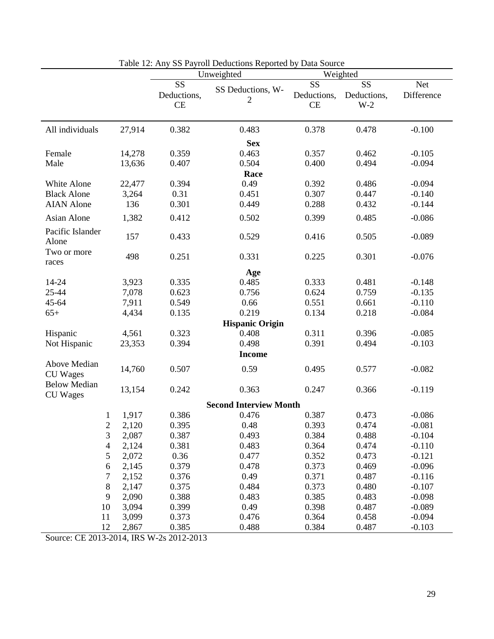|                                        |        |                                | Lating 12. Any 33 Fayfon Deductions Reported by Data Source<br>Unweighted |                         | Weighted                   |                          |
|----------------------------------------|--------|--------------------------------|---------------------------------------------------------------------------|-------------------------|----------------------------|--------------------------|
|                                        |        | SS<br>Deductions,<br><b>CE</b> | SS Deductions, W-<br>2                                                    | SS<br>Deductions,<br>CE | SS<br>Deductions,<br>$W-2$ | <b>Net</b><br>Difference |
| All individuals                        | 27,914 | 0.382                          | 0.483                                                                     | 0.378                   | 0.478                      | $-0.100$                 |
|                                        |        |                                | <b>Sex</b>                                                                |                         |                            |                          |
| Female                                 | 14,278 | 0.359                          | 0.463                                                                     | 0.357                   | 0.462                      | $-0.105$                 |
| Male                                   | 13,636 | 0.407                          | 0.504                                                                     | 0.400                   | 0.494                      | $-0.094$                 |
|                                        |        |                                | Race                                                                      |                         |                            |                          |
| White Alone                            | 22,477 | 0.394                          | 0.49                                                                      | 0.392                   | 0.486                      | $-0.094$                 |
| <b>Black Alone</b>                     | 3,264  | 0.31                           | 0.451                                                                     | 0.307                   | 0.447                      | $-0.140$                 |
| <b>AIAN</b> Alone                      | 136    | 0.301                          | 0.449                                                                     | 0.288                   | 0.432                      | $-0.144$                 |
| Asian Alone                            | 1,382  | 0.412                          | 0.502                                                                     | 0.399                   | 0.485                      | $-0.086$                 |
| Pacific Islander<br>Alone              | 157    | 0.433                          | 0.529                                                                     | 0.416                   | 0.505                      | $-0.089$                 |
| Two or more<br>races                   | 498    | 0.251                          | 0.331                                                                     | 0.225                   | 0.301                      | $-0.076$                 |
|                                        |        |                                | Age                                                                       |                         |                            |                          |
| 14-24                                  | 3,923  | 0.335                          | 0.485                                                                     | 0.333                   | 0.481                      | $-0.148$                 |
| 25-44                                  | 7,078  | 0.623                          | 0.756                                                                     | 0.624                   | 0.759                      | $-0.135$                 |
| 45-64                                  | 7,911  | 0.549                          | 0.66                                                                      | 0.551                   | 0.661                      | $-0.110$                 |
| $65+$                                  | 4,434  | 0.135                          | 0.219                                                                     | 0.134                   | 0.218                      | $-0.084$                 |
|                                        |        |                                | <b>Hispanic Origin</b>                                                    |                         |                            |                          |
| Hispanic                               | 4,561  | 0.323                          | 0.408                                                                     | 0.311                   | 0.396                      | $-0.085$                 |
| Not Hispanic                           | 23,353 | 0.394                          | 0.498                                                                     | 0.391                   | 0.494                      | $-0.103$                 |
|                                        |        |                                | <b>Income</b>                                                             |                         |                            |                          |
| Above Median<br><b>CU</b> Wages        | 14,760 | 0.507                          | 0.59                                                                      | 0.495                   | 0.577                      | $-0.082$                 |
| <b>Below Median</b><br><b>CU</b> Wages | 13,154 | 0.242                          | 0.363                                                                     | 0.247                   | 0.366                      | $-0.119$                 |
|                                        |        |                                | <b>Second Interview Month</b>                                             |                         |                            |                          |
| 1                                      | 1,917  | 0.386                          | 0.476                                                                     | 0.387                   | 0.473                      | $-0.086$                 |
| 2                                      | 2,120  | 0.395                          | 0.48                                                                      | 0.393                   | 0.474                      | $-0.081$                 |
| 3                                      | 2,087  | 0.387                          | 0.493                                                                     | 0.384                   | 0.488                      | $-0.104$                 |
| $\overline{4}$                         | 2,124  | 0.381                          | 0.483                                                                     | 0.364                   | 0.474                      | $-0.110$                 |
| $\mathfrak s$                          | 2,072  | 0.36                           | 0.477                                                                     | 0.352                   | 0.473                      | $-0.121$                 |
| 6                                      | 2,145  | 0.379                          | 0.478                                                                     | 0.373                   | 0.469                      | $-0.096$                 |
| 7                                      | 2,152  | 0.376                          | 0.49                                                                      | 0.371                   | 0.487                      | $-0.116$                 |
| $8\,$                                  | 2,147  | 0.375                          | 0.484                                                                     | 0.373                   | 0.480                      | $-0.107$                 |
| 9                                      | 2,090  | 0.388                          | 0.483                                                                     | 0.385                   | 0.483                      | $-0.098$                 |
| 10                                     | 3,094  | 0.399                          | 0.49                                                                      | 0.398                   | 0.487                      | $-0.089$                 |
| 11                                     | 3,099  | 0.373                          | 0.476                                                                     | 0.364                   | 0.458                      | $-0.094$                 |
| 12                                     | 2,867  | 0.385                          | 0.488                                                                     | 0.384                   | 0.487                      | $-0.103$                 |

|  |  | Table 12: Any SS Payroll Deductions Reported by Data Source |  |  |
|--|--|-------------------------------------------------------------|--|--|
|  |  |                                                             |  |  |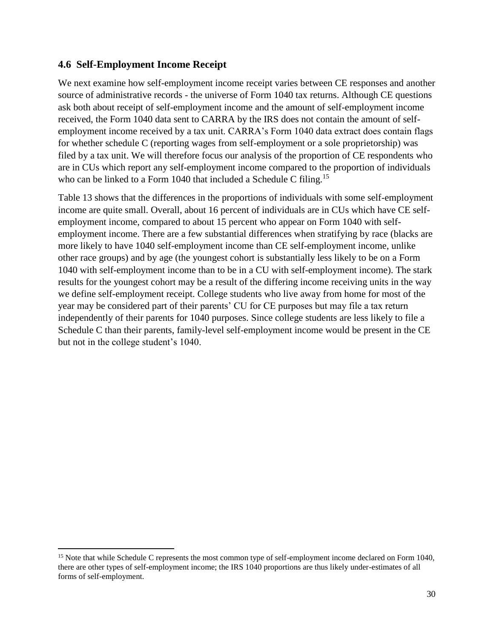#### **4.6 Self-Employment Income Receipt**

We next examine how self-employment income receipt varies between CE responses and another source of administrative records - the universe of Form 1040 tax returns. Although CE questions ask both about receipt of self-employment income and the amount of self-employment income received, the Form 1040 data sent to CARRA by the IRS does not contain the amount of selfemployment income received by a tax unit. CARRA's Form 1040 data extract does contain flags for whether schedule C (reporting wages from self-employment or a sole proprietorship) was filed by a tax unit. We will therefore focus our analysis of the proportion of CE respondents who are in CUs which report any self-employment income compared to the proportion of individuals who can be linked to a Form 1040 that included a Schedule C filing.<sup>15</sup>

Table 13 shows that the differences in the proportions of individuals with some self-employment income are quite small. Overall, about 16 percent of individuals are in CUs which have CE selfemployment income, compared to about 15 percent who appear on Form 1040 with selfemployment income. There are a few substantial differences when stratifying by race (blacks are more likely to have 1040 self-employment income than CE self-employment income, unlike other race groups) and by age (the youngest cohort is substantially less likely to be on a Form 1040 with self-employment income than to be in a CU with self-employment income). The stark results for the youngest cohort may be a result of the differing income receiving units in the way we define self-employment receipt. College students who live away from home for most of the year may be considered part of their parents' CU for CE purposes but may file a tax return independently of their parents for 1040 purposes. Since college students are less likely to file a Schedule C than their parents, family-level self-employment income would be present in the CE but not in the college student's 1040.

 $\overline{\phantom{a}}$ <sup>15</sup> Note that while Schedule C represents the most common type of self-employment income declared on Form 1040, there are other types of self-employment income; the IRS 1040 proportions are thus likely under-estimates of all forms of self-employment.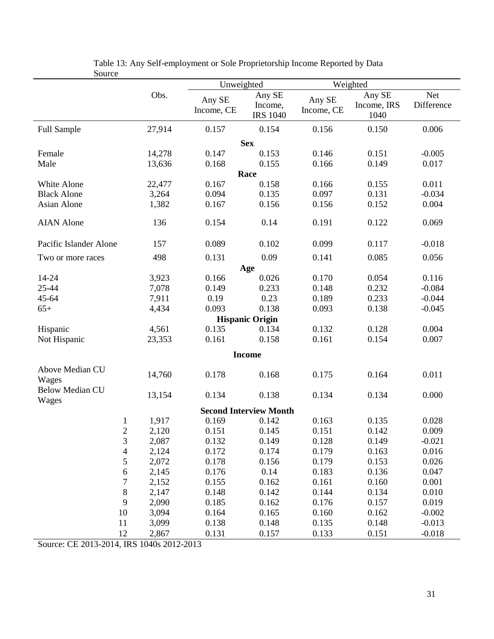| pource                          |        | Unweighted           |                                      |                      | Weighted                      |                   |
|---------------------------------|--------|----------------------|--------------------------------------|----------------------|-------------------------------|-------------------|
|                                 | Obs.   | Any SE<br>Income, CE | Any SE<br>Income,<br><b>IRS 1040</b> | Any SE<br>Income, CE | Any SE<br>Income, IRS<br>1040 | Net<br>Difference |
| <b>Full Sample</b>              | 27,914 | 0.157                | 0.154                                | 0.156                | 0.150                         | 0.006             |
|                                 |        |                      | <b>Sex</b>                           |                      |                               |                   |
| Female                          | 14,278 | 0.147                | 0.153                                | 0.146                | 0.151                         | $-0.005$          |
| Male                            | 13,636 | 0.168                | 0.155                                | 0.166                | 0.149                         | 0.017             |
|                                 |        |                      | Race                                 |                      |                               |                   |
| White Alone                     | 22,477 | 0.167                | 0.158                                | 0.166                | 0.155                         | 0.011             |
| <b>Black Alone</b>              | 3,264  | 0.094                | 0.135                                | 0.097                | 0.131                         | $-0.034$          |
| Asian Alone                     | 1,382  | 0.167                | 0.156                                | 0.156                | 0.152                         | 0.004             |
| <b>AIAN</b> Alone               | 136    | 0.154                | 0.14                                 | 0.191                | 0.122                         | 0.069             |
| Pacific Islander Alone          | 157    | 0.089                | 0.102                                | 0.099                | 0.117                         | $-0.018$          |
| Two or more races               | 498    | 0.131                | 0.09                                 | 0.141                | 0.085                         | 0.056             |
|                                 |        |                      | Age                                  |                      |                               |                   |
| 14-24                           | 3,923  | 0.166                | 0.026                                | 0.170                | 0.054                         | 0.116             |
| 25-44                           | 7,078  | 0.149                | 0.233                                | 0.148                | 0.232                         | $-0.084$          |
| 45-64                           | 7,911  | 0.19                 | 0.23                                 | 0.189                | 0.233                         | $-0.044$          |
| $65+$                           | 4,434  | 0.093                | 0.138                                | 0.093                | 0.138                         | $-0.045$          |
|                                 |        |                      | <b>Hispanic Origin</b>               |                      |                               |                   |
| Hispanic                        | 4,561  | 0.135                | 0.134                                | 0.132                | 0.128                         | 0.004             |
| Not Hispanic                    | 23,353 | 0.161                | 0.158                                | 0.161                | 0.154                         | 0.007             |
|                                 |        |                      | <b>Income</b>                        |                      |                               |                   |
| Above Median CU<br>Wages        | 14,760 | 0.178                | 0.168                                | 0.175                | 0.164                         | 0.011             |
| <b>Below Median CU</b><br>Wages | 13,154 | 0.134                | 0.138                                | 0.134                | 0.134                         | 0.000             |
|                                 |        |                      | <b>Second Interview Month</b>        |                      |                               |                   |
| $\mathbf{1}$                    | 1,917  | 0.169                | 0.142                                | 0.163                | 0.135                         | 0.028             |
| $\overline{2}$                  | 2,120  | 0.151                | 0.145                                | 0.151                | 0.142                         | 0.009             |
| 3                               | 2,087  | 0.132                | 0.149                                | 0.128                | 0.149                         | $-0.021$          |
| $\overline{\mathcal{L}}$        | 2,124  | 0.172                | 0.174                                | 0.179                | 0.163                         | 0.016             |
| 5                               | 2,072  | 0.178                | 0.156                                | 0.179                | 0.153                         | 0.026             |
| 6                               | 2,145  | 0.176                | 0.14                                 | 0.183                | 0.136                         | 0.047             |
| $\sqrt{ }$                      | 2,152  | 0.155                | 0.162                                | 0.161                | 0.160                         | 0.001             |
| $\,$ $\,$                       | 2,147  | 0.148                | 0.142                                | 0.144                | 0.134                         | 0.010             |
| 9                               | 2,090  | 0.185                | 0.162                                | 0.176                | 0.157                         | 0.019             |
| 10                              | 3,094  | 0.164                | 0.165                                | 0.160                | 0.162                         | $-0.002$          |
| 11                              | 3,099  | 0.138                | 0.148                                | 0.135                | 0.148                         | $-0.013$          |
| 12                              | 2,867  | 0.131                | 0.157                                | 0.133                | 0.151                         | $-0.018$          |

Table 13: Any Self-employment or Sole Proprietorship Income Reported by Data Source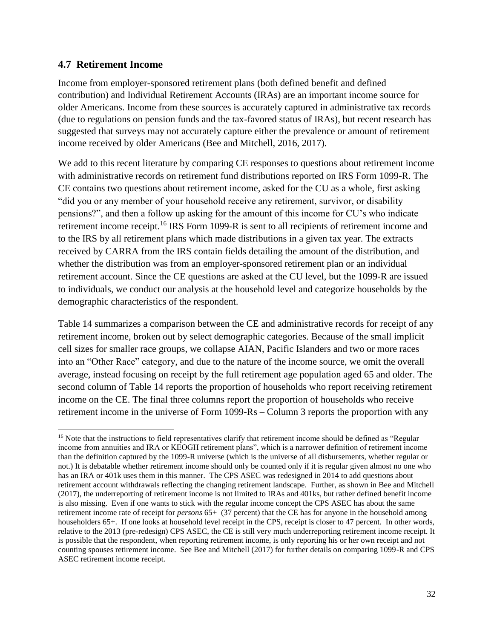#### **4.7 Retirement Income**

 $\overline{\phantom{a}}$ 

Income from employer-sponsored retirement plans (both defined benefit and defined contribution) and Individual Retirement Accounts (IRAs) are an important income source for older Americans. Income from these sources is accurately captured in administrative tax records (due to regulations on pension funds and the tax-favored status of IRAs), but recent research has suggested that surveys may not accurately capture either the prevalence or amount of retirement income received by older Americans (Bee and Mitchell, 2016, 2017).

We add to this recent literature by comparing CE responses to questions about retirement income with administrative records on retirement fund distributions reported on IRS Form 1099-R. The CE contains two questions about retirement income, asked for the CU as a whole, first asking "did you or any member of your household receive any retirement, survivor, or disability pensions?", and then a follow up asking for the amount of this income for CU's who indicate retirement income receipt.<sup>16</sup> IRS Form 1099-R is sent to all recipients of retirement income and to the IRS by all retirement plans which made distributions in a given tax year. The extracts received by CARRA from the IRS contain fields detailing the amount of the distribution, and whether the distribution was from an employer-sponsored retirement plan or an individual retirement account. Since the CE questions are asked at the CU level, but the 1099-R are issued to individuals, we conduct our analysis at the household level and categorize households by the demographic characteristics of the respondent.

Table 14 summarizes a comparison between the CE and administrative records for receipt of any retirement income, broken out by select demographic categories. Because of the small implicit cell sizes for smaller race groups, we collapse AIAN, Pacific Islanders and two or more races into an "Other Race" category, and due to the nature of the income source, we omit the overall average, instead focusing on receipt by the full retirement age population aged 65 and older. The second column of Table 14 reports the proportion of households who report receiving retirement income on the CE. The final three columns report the proportion of households who receive retirement income in the universe of Form 1099-Rs – Column 3 reports the proportion with any

<sup>&</sup>lt;sup>16</sup> Note that the instructions to field representatives clarify that retirement income should be defined as "Regular" income from annuities and IRA or KEOGH retirement plans", which is a narrower definition of retirement income than the definition captured by the 1099-R universe (which is the universe of all disbursements, whether regular or not.) It is debatable whether retirement income should only be counted only if it is regular given almost no one who has an IRA or 401k uses them in this manner. The CPS ASEC was redesigned in 2014 to add questions about retirement account withdrawals reflecting the changing retirement landscape. Further, as shown in Bee and Mitchell (2017), the underreporting of retirement income is not limited to IRAs and 401ks, but rather defined benefit income is also missing. Even if one wants to stick with the regular income concept the CPS ASEC has about the same retirement income rate of receipt for *persons* 65+ (37 percent) that the CE has for anyone in the household among householders 65+. If one looks at household level receipt in the CPS, receipt is closer to 47 percent. In other words, relative to the 2013 (pre-redesign) CPS ASEC, the CE is still very much underreporting retirement income receipt. It is possible that the respondent, when reporting retirement income, is only reporting his or her own receipt and not counting spouses retirement income. See Bee and Mitchell (2017) for further details on comparing 1099-R and CPS ASEC retirement income receipt.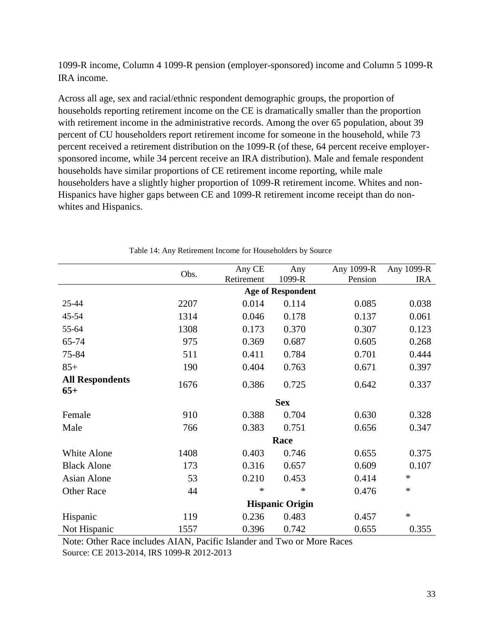1099-R income, Column 4 1099-R pension (employer-sponsored) income and Column 5 1099-R IRA income.

Across all age, sex and racial/ethnic respondent demographic groups, the proportion of households reporting retirement income on the CE is dramatically smaller than the proportion with retirement income in the administrative records. Among the over 65 population, about 39 percent of CU householders report retirement income for someone in the household, while 73 percent received a retirement distribution on the 1099-R (of these, 64 percent receive employersponsored income, while 34 percent receive an IRA distribution). Male and female respondent households have similar proportions of CE retirement income reporting, while male householders have a slightly higher proportion of 1099-R retirement income. Whites and non-Hispanics have higher gaps between CE and 1099-R retirement income receipt than do nonwhites and Hispanics.

|                                 | Obs.                   | Any CE<br>Retirement | Any<br>1099-R            | Any 1099-R<br>Pension | Any 1099-R<br><b>IRA</b> |  |  |  |  |
|---------------------------------|------------------------|----------------------|--------------------------|-----------------------|--------------------------|--|--|--|--|
|                                 |                        |                      | <b>Age of Respondent</b> |                       |                          |  |  |  |  |
| 25-44                           | 2207                   | 0.014                | 0.114                    | 0.085                 | 0.038                    |  |  |  |  |
| 45-54                           | 1314                   | 0.046                | 0.178                    | 0.137                 | 0.061                    |  |  |  |  |
| 55-64                           | 1308                   | 0.173                | 0.370                    | 0.307                 | 0.123                    |  |  |  |  |
| 65-74                           | 975                    | 0.369                | 0.687                    | 0.605                 | 0.268                    |  |  |  |  |
| 75-84                           | 511                    | 0.411                | 0.784                    | 0.701                 | 0.444                    |  |  |  |  |
| $85+$                           | 190                    | 0.404                | 0.763                    | 0.671                 | 0.397                    |  |  |  |  |
| <b>All Respondents</b><br>$65+$ | 1676                   | 0.386                | 0.725                    | 0.642                 | 0.337                    |  |  |  |  |
|                                 |                        |                      | <b>Sex</b>               |                       |                          |  |  |  |  |
| Female                          | 910                    | 0.388                | 0.704                    | 0.630                 | 0.328                    |  |  |  |  |
| Male                            | 766                    | 0.383                | 0.751                    | 0.656                 | 0.347                    |  |  |  |  |
|                                 |                        |                      | Race                     |                       |                          |  |  |  |  |
| White Alone                     | 1408                   | 0.403                | 0.746                    | 0.655                 | 0.375                    |  |  |  |  |
| <b>Black Alone</b>              | 173                    | 0.316                | 0.657                    | 0.609                 | 0.107                    |  |  |  |  |
| <b>Asian Alone</b>              | 53                     | 0.210                | 0.453                    | 0.414                 | $\ast$                   |  |  |  |  |
| <b>Other Race</b>               | 44                     | ∗                    | $\ast$                   | 0.476                 | $\ast$                   |  |  |  |  |
|                                 | <b>Hispanic Origin</b> |                      |                          |                       |                          |  |  |  |  |
| Hispanic                        | 119                    | 0.236                | 0.483                    | 0.457                 | $\ast$                   |  |  |  |  |
| Not Hispanic                    | 1557                   | 0.396                | 0.742                    | 0.655                 | 0.355                    |  |  |  |  |

Table 14: Any Retirement Income for Householders by Source

Note: Other Race includes AIAN, Pacific Islander and Two or More Races Source: CE 2013-2014, IRS 1099-R 2012-2013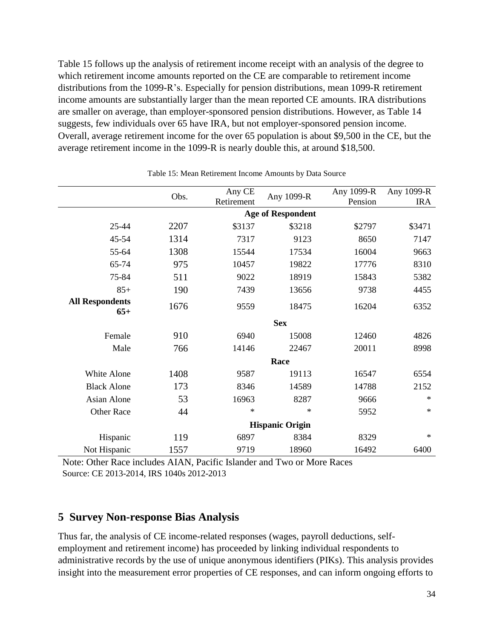Table 15 follows up the analysis of retirement income receipt with an analysis of the degree to which retirement income amounts reported on the CE are comparable to retirement income distributions from the 1099-R's. Especially for pension distributions, mean 1099-R retirement income amounts are substantially larger than the mean reported CE amounts. IRA distributions are smaller on average, than employer-sponsored pension distributions. However, as Table 14 suggests, few individuals over 65 have IRA, but not employer-sponsored pension income. Overall, average retirement income for the over 65 population is about \$9,500 in the CE, but the average retirement income in the 1099-R is nearly double this, at around \$18,500.

|                                 |                          | Any CE     |            | Any 1099-R | Any 1099-R |  |  |  |  |
|---------------------------------|--------------------------|------------|------------|------------|------------|--|--|--|--|
|                                 | Obs.                     | Retirement | Any 1099-R | Pension    | <b>IRA</b> |  |  |  |  |
|                                 | <b>Age of Respondent</b> |            |            |            |            |  |  |  |  |
| $25 - 44$                       | 2207                     | \$3137     | \$3218     | \$2797     | \$3471     |  |  |  |  |
| 45-54                           | 1314                     | 7317       | 9123       | 8650       | 7147       |  |  |  |  |
| 55-64                           | 1308                     | 15544      | 17534      | 16004      | 9663       |  |  |  |  |
| 65-74                           | 975                      | 10457      | 19822      | 17776      | 8310       |  |  |  |  |
| 75-84                           | 511                      | 9022       | 18919      | 15843      | 5382       |  |  |  |  |
| $85+$                           | 190                      | 7439       | 13656      | 9738       | 4455       |  |  |  |  |
| <b>All Respondents</b><br>$65+$ | 1676                     | 9559       | 18475      | 16204      | 6352       |  |  |  |  |
|                                 |                          |            | <b>Sex</b> |            |            |  |  |  |  |
| Female                          | 910                      | 6940       | 15008      | 12460      | 4826       |  |  |  |  |
| Male                            | 766                      | 14146      | 22467      | 20011      | 8998       |  |  |  |  |
|                                 |                          |            | Race       |            |            |  |  |  |  |
| White Alone                     | 1408                     | 9587       | 19113      | 16547      | 6554       |  |  |  |  |
| <b>Black Alone</b>              | 173                      | 8346       | 14589      | 14788      | 2152       |  |  |  |  |
| Asian Alone                     | 53                       | 16963      | 8287       | 9666       | $\ast$     |  |  |  |  |
| <b>Other Race</b>               | 44                       | $\ast$     | $\ast$     | 5952       | $\ast$     |  |  |  |  |
|                                 | <b>Hispanic Origin</b>   |            |            |            |            |  |  |  |  |
| Hispanic                        | 119                      | 6897       | 8384       | 8329       | $\ast$     |  |  |  |  |
| Not Hispanic                    | 1557                     | 9719       | 18960      | 16492      | 6400       |  |  |  |  |

Table 15: Mean Retirement Income Amounts by Data Source

Note: Other Race includes AIAN, Pacific Islander and Two or More Races Source: CE 2013-2014, IRS 1040s 2012-2013

## **5 Survey Non-response Bias Analysis**

Thus far, the analysis of CE income-related responses (wages, payroll deductions, selfemployment and retirement income) has proceeded by linking individual respondents to administrative records by the use of unique anonymous identifiers (PIKs). This analysis provides insight into the measurement error properties of CE responses, and can inform ongoing efforts to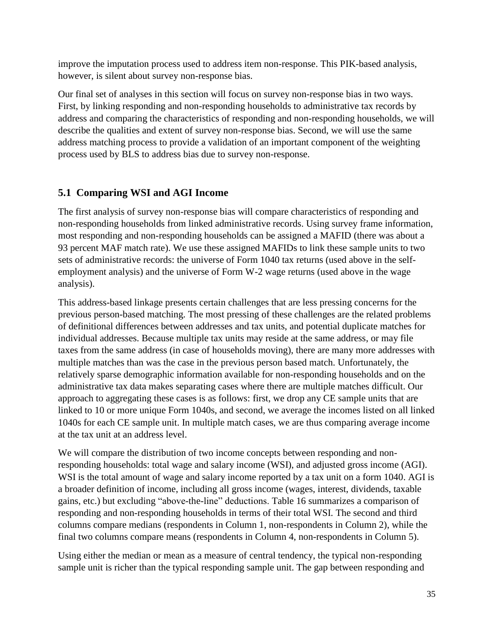improve the imputation process used to address item non-response. This PIK-based analysis, however, is silent about survey non-response bias.

Our final set of analyses in this section will focus on survey non-response bias in two ways. First, by linking responding and non-responding households to administrative tax records by address and comparing the characteristics of responding and non-responding households, we will describe the qualities and extent of survey non-response bias. Second, we will use the same address matching process to provide a validation of an important component of the weighting process used by BLS to address bias due to survey non-response.

## **5.1 Comparing WSI and AGI Income**

The first analysis of survey non-response bias will compare characteristics of responding and non-responding households from linked administrative records. Using survey frame information, most responding and non-responding households can be assigned a MAFID (there was about a 93 percent MAF match rate). We use these assigned MAFIDs to link these sample units to two sets of administrative records: the universe of Form 1040 tax returns (used above in the selfemployment analysis) and the universe of Form W-2 wage returns (used above in the wage analysis).

This address-based linkage presents certain challenges that are less pressing concerns for the previous person-based matching. The most pressing of these challenges are the related problems of definitional differences between addresses and tax units, and potential duplicate matches for individual addresses. Because multiple tax units may reside at the same address, or may file taxes from the same address (in case of households moving), there are many more addresses with multiple matches than was the case in the previous person based match. Unfortunately, the relatively sparse demographic information available for non-responding households and on the administrative tax data makes separating cases where there are multiple matches difficult. Our approach to aggregating these cases is as follows: first, we drop any CE sample units that are linked to 10 or more unique Form 1040s, and second, we average the incomes listed on all linked 1040s for each CE sample unit. In multiple match cases, we are thus comparing average income at the tax unit at an address level.

We will compare the distribution of two income concepts between responding and nonresponding households: total wage and salary income (WSI), and adjusted gross income (AGI). WSI is the total amount of wage and salary income reported by a tax unit on a form 1040. AGI is a broader definition of income, including all gross income (wages, interest, dividends, taxable gains, etc.) but excluding "above-the-line" deductions. Table 16 summarizes a comparison of responding and non-responding households in terms of their total WSI. The second and third columns compare medians (respondents in Column 1, non-respondents in Column 2), while the final two columns compare means (respondents in Column 4, non-respondents in Column 5).

Using either the median or mean as a measure of central tendency, the typical non-responding sample unit is richer than the typical responding sample unit. The gap between responding and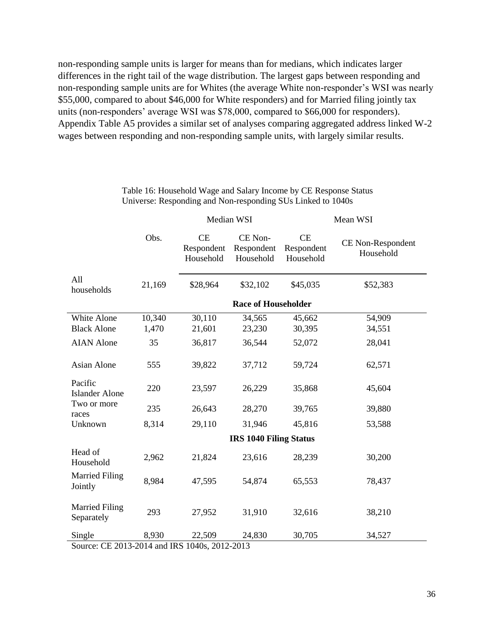non-responding sample units is larger for means than for medians, which indicates larger differences in the right tail of the wage distribution. The largest gaps between responding and non-responding sample units are for Whites (the average White non-responder's WSI was nearly \$55,000, compared to about \$46,000 for White responders) and for Married filing jointly tax units (non-responders' average WSI was \$78,000, compared to \$66,000 for responders). Appendix Table A5 provides a similar set of analyses comparing aggregated address linked W-2 wages between responding and non-responding sample units, with largely similar results.

|                                                         |                            | Median WSI                           |                                    |                                      | Mean WSI                       |  |  |  |
|---------------------------------------------------------|----------------------------|--------------------------------------|------------------------------------|--------------------------------------|--------------------------------|--|--|--|
|                                                         | Obs.                       | <b>CE</b><br>Respondent<br>Household | CE Non-<br>Respondent<br>Household | <b>CE</b><br>Respondent<br>Household | CE Non-Respondent<br>Household |  |  |  |
| All<br>households                                       | 21,169                     | \$28,964                             | \$32,102                           | \$45,035                             | \$52,383                       |  |  |  |
|                                                         | <b>Race of Householder</b> |                                      |                                    |                                      |                                |  |  |  |
| White Alone<br><b>Black Alone</b>                       | 10,340<br>1,470            | 30,110<br>21,601                     | 34,565<br>23,230                   | 45,662<br>30,395                     | 54,909<br>34,551               |  |  |  |
| <b>AIAN</b> Alone                                       | 35                         | 36,817                               | 36,544                             | 52,072                               | 28,041                         |  |  |  |
| Asian Alone                                             | 555                        | 39,822                               | 37,712                             | 59,724                               | 62,571                         |  |  |  |
| Pacific<br><b>Islander Alone</b>                        | 220                        | 23,597                               | 26,229                             | 35,868                               | 45,604                         |  |  |  |
| Two or more<br>races                                    | 235                        | 26,643                               | 28,270                             | 39,765                               | 39,880                         |  |  |  |
| Unknown                                                 | 8,314                      | 29,110                               | 31,946                             | 45,816                               | 53,588                         |  |  |  |
|                                                         |                            |                                      | <b>IRS 1040 Filing Status</b>      |                                      |                                |  |  |  |
| Head of<br>Household                                    | 2,962                      | 21,824                               | 23,616                             | 28,239                               | 30,200                         |  |  |  |
| <b>Married Filing</b><br>Jointly                        | 8,984                      | 47,595                               | 54,874                             | 65,553                               | 78,437                         |  |  |  |
| <b>Married Filing</b><br>Separately                     | 293                        | 27,952                               | 31,910                             | 32,616                               | 38,210                         |  |  |  |
| Single<br>Source: CE 2013-2014 and IRS 1040s, 2012-2013 | 8,930                      | 22,509                               | 24,830                             | 30,705                               | 34,527                         |  |  |  |

Table 16: Household Wage and Salary Income by CE Response Status Universe: Responding and Non-responding SUs Linked to 1040s

Source: CE 2013-2014 and IRS 1040s, 2012-2013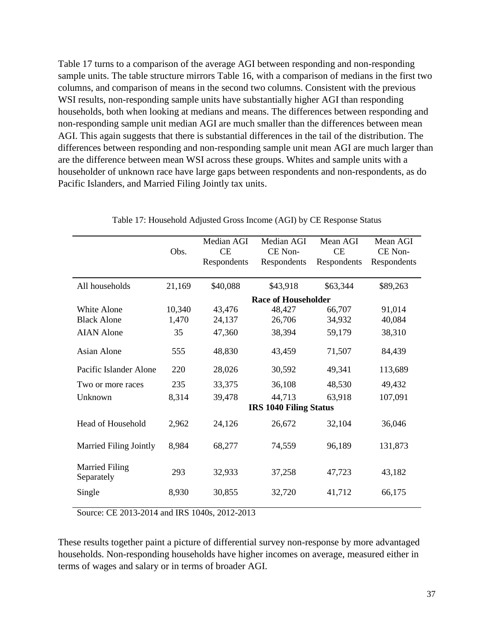Table 17 turns to a comparison of the average AGI between responding and non-responding sample units. The table structure mirrors Table 16, with a comparison of medians in the first two columns, and comparison of means in the second two columns. Consistent with the previous WSI results, non-responding sample units have substantially higher AGI than responding households, both when looking at medians and means. The differences between responding and non-responding sample unit median AGI are much smaller than the differences between mean AGI. This again suggests that there is substantial differences in the tail of the distribution. The differences between responding and non-responding sample unit mean AGI are much larger than are the difference between mean WSI across these groups. Whites and sample units with a householder of unknown race have large gaps between respondents and non-respondents, as do Pacific Islanders, and Married Filing Jointly tax units.

|                                     |        | Median AGI  | Median AGI                    | Mean AGI    | Mean AGI    |
|-------------------------------------|--------|-------------|-------------------------------|-------------|-------------|
|                                     | Obs.   | <b>CE</b>   | CE Non-                       | CE          | CE Non-     |
|                                     |        | Respondents | Respondents                   | Respondents | Respondents |
|                                     |        |             |                               |             |             |
| All households                      | 21,169 | \$40,088    | \$43,918                      | \$63,344    | \$89,263    |
|                                     |        |             | <b>Race of Householder</b>    |             |             |
| White Alone                         | 10,340 | 43,476      | 48,427                        | 66,707      | 91,014      |
| <b>Black Alone</b>                  | 1,470  | 24,137      | 26,706                        | 34,932      | 40,084      |
| <b>AIAN</b> Alone                   | 35     | 47,360      | 38,394                        | 59,179      | 38,310      |
| Asian Alone                         | 555    | 48,830      | 43,459                        | 71,507      | 84,439      |
| Pacific Islander Alone              | 220    | 28,026      | 30,592                        | 49,341      | 113,689     |
| Two or more races                   | 235    | 33,375      | 36,108                        | 48,530      | 49,432      |
| Unknown                             | 8,314  | 39,478      | 44,713                        | 63,918      | 107,091     |
|                                     |        |             | <b>IRS 1040 Filing Status</b> |             |             |
| Head of Household                   | 2,962  | 24,126      | 26,672                        | 32,104      | 36,046      |
| <b>Married Filing Jointly</b>       | 8,984  | 68,277      | 74,559                        | 96,189      | 131,873     |
| <b>Married Filing</b><br>Separately | 293    | 32,933      | 37,258                        | 47,723      | 43,182      |
| Single                              | 8,930  | 30,855      | 32,720                        | 41,712      | 66,175      |
|                                     |        |             |                               |             |             |

Table 17: Household Adjusted Gross Income (AGI) by CE Response Status

Source: CE 2013-2014 and IRS 1040s, 2012-2013

These results together paint a picture of differential survey non-response by more advantaged households. Non-responding households have higher incomes on average, measured either in terms of wages and salary or in terms of broader AGI.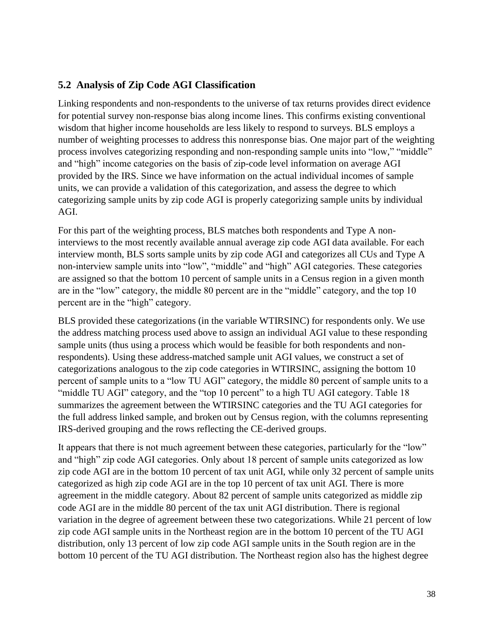### **5.2 Analysis of Zip Code AGI Classification**

Linking respondents and non-respondents to the universe of tax returns provides direct evidence for potential survey non-response bias along income lines. This confirms existing conventional wisdom that higher income households are less likely to respond to surveys. BLS employs a number of weighting processes to address this nonresponse bias. One major part of the weighting process involves categorizing responding and non-responding sample units into "low," "middle" and "high" income categories on the basis of zip-code level information on average AGI provided by the IRS. Since we have information on the actual individual incomes of sample units, we can provide a validation of this categorization, and assess the degree to which categorizing sample units by zip code AGI is properly categorizing sample units by individual AGI.

For this part of the weighting process, BLS matches both respondents and Type A noninterviews to the most recently available annual average zip code AGI data available. For each interview month, BLS sorts sample units by zip code AGI and categorizes all CUs and Type A non-interview sample units into "low", "middle" and "high" AGI categories. These categories are assigned so that the bottom 10 percent of sample units in a Census region in a given month are in the "low" category, the middle 80 percent are in the "middle" category, and the top 10 percent are in the "high" category.

BLS provided these categorizations (in the variable WTIRSINC) for respondents only. We use the address matching process used above to assign an individual AGI value to these responding sample units (thus using a process which would be feasible for both respondents and nonrespondents). Using these address-matched sample unit AGI values, we construct a set of categorizations analogous to the zip code categories in WTIRSINC, assigning the bottom 10 percent of sample units to a "low TU AGI" category, the middle 80 percent of sample units to a "middle TU AGI" category, and the "top 10 percent" to a high TU AGI category. Table 18 summarizes the agreement between the WTIRSINC categories and the TU AGI categories for the full address linked sample, and broken out by Census region, with the columns representing IRS-derived grouping and the rows reflecting the CE-derived groups.

It appears that there is not much agreement between these categories, particularly for the "low" and "high" zip code AGI categories. Only about 18 percent of sample units categorized as low zip code AGI are in the bottom 10 percent of tax unit AGI, while only 32 percent of sample units categorized as high zip code AGI are in the top 10 percent of tax unit AGI. There is more agreement in the middle category. About 82 percent of sample units categorized as middle zip code AGI are in the middle 80 percent of the tax unit AGI distribution. There is regional variation in the degree of agreement between these two categorizations. While 21 percent of low zip code AGI sample units in the Northeast region are in the bottom 10 percent of the TU AGI distribution, only 13 percent of low zip code AGI sample units in the South region are in the bottom 10 percent of the TU AGI distribution. The Northeast region also has the highest degree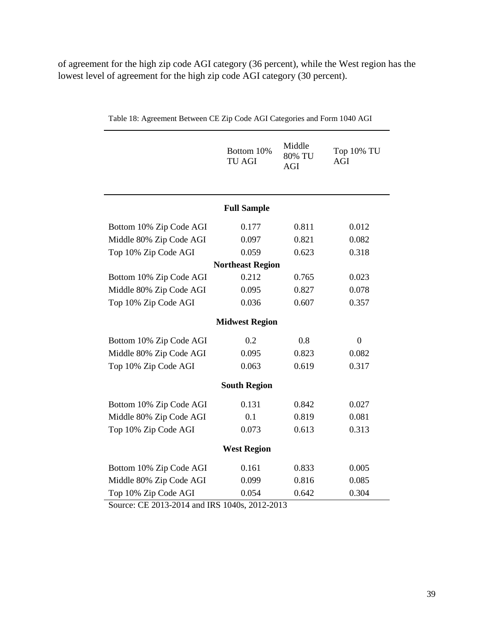of agreement for the high zip code AGI category (36 percent), while the West region has the lowest level of agreement for the high zip code AGI category (30 percent).

|                         | Bottom 10%<br><b>TU AGI</b> | Middle<br>80% TU<br>AGI | Top 10% TU<br><b>AGI</b> |  |  |  |  |  |
|-------------------------|-----------------------------|-------------------------|--------------------------|--|--|--|--|--|
|                         | <b>Full Sample</b>          |                         |                          |  |  |  |  |  |
| Bottom 10% Zip Code AGI | 0.177                       | 0.811                   | 0.012                    |  |  |  |  |  |
| Middle 80% Zip Code AGI | 0.097                       | 0.821                   | 0.082                    |  |  |  |  |  |
| Top 10% Zip Code AGI    | 0.059                       | 0.623                   | 0.318                    |  |  |  |  |  |
|                         | <b>Northeast Region</b>     |                         |                          |  |  |  |  |  |
| Bottom 10% Zip Code AGI | 0.212                       | 0.765                   | 0.023                    |  |  |  |  |  |
| Middle 80% Zip Code AGI | 0.095                       | 0.827                   | 0.078                    |  |  |  |  |  |
| Top 10% Zip Code AGI    | 0.036                       | 0.607                   | 0.357                    |  |  |  |  |  |
|                         | <b>Midwest Region</b>       |                         |                          |  |  |  |  |  |
| Bottom 10% Zip Code AGI | 0.2                         | 0.8                     | $\overline{0}$           |  |  |  |  |  |
| Middle 80% Zip Code AGI | 0.095                       | 0.823                   | 0.082                    |  |  |  |  |  |
| Top 10% Zip Code AGI    | 0.063                       | 0.619                   | 0.317                    |  |  |  |  |  |
|                         | <b>South Region</b>         |                         |                          |  |  |  |  |  |
| Bottom 10% Zip Code AGI | 0.131                       | 0.842                   | 0.027                    |  |  |  |  |  |
| Middle 80% Zip Code AGI | 0.1                         | 0.819                   | 0.081                    |  |  |  |  |  |
| Top 10% Zip Code AGI    | 0.073                       | 0.613                   | 0.313                    |  |  |  |  |  |
| <b>West Region</b>      |                             |                         |                          |  |  |  |  |  |
| Bottom 10% Zip Code AGI | 0.161                       | 0.833                   | 0.005                    |  |  |  |  |  |
| Middle 80% Zip Code AGI | 0.099                       | 0.816                   | 0.085                    |  |  |  |  |  |
| Top 10% Zip Code AGI    | 0.054                       | 0.642                   | 0.304                    |  |  |  |  |  |

Table 18: Agreement Between CE Zip Code AGI Categories and Form 1040 AGI

Source: CE 2013-2014 and IRS 1040s, 2012-2013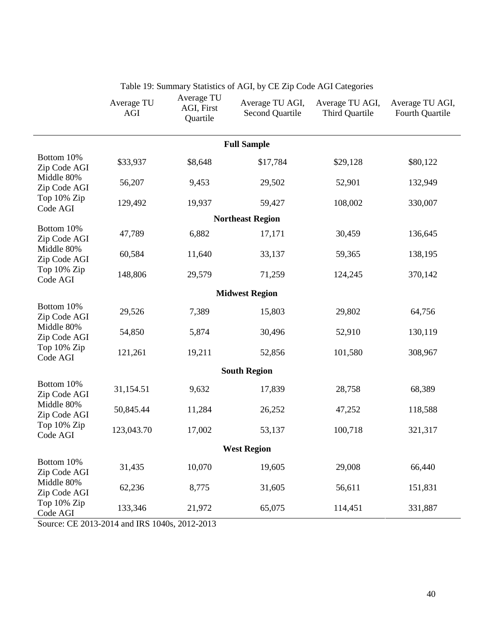|                                                                                     | Average TU<br>AGI | Average TU<br>AGI, First<br>Quartile | Average TU AGI,<br><b>Second Quartile</b> | Average TU AGI,<br>Third Quartile | Average TU AGI,<br>Fourth Quartile |  |  |  |
|-------------------------------------------------------------------------------------|-------------------|--------------------------------------|-------------------------------------------|-----------------------------------|------------------------------------|--|--|--|
| <b>Full Sample</b>                                                                  |                   |                                      |                                           |                                   |                                    |  |  |  |
| Bottom 10%<br>Zip Code AGI                                                          | \$33,937          | \$8,648                              | \$17,784                                  | \$29,128                          | \$80,122                           |  |  |  |
| Middle 80%<br>Zip Code AGI                                                          | 56,207            | 9,453                                | 29,502                                    | 52,901                            | 132,949                            |  |  |  |
| Top 10% Zip<br>Code AGI                                                             | 129,492           | 19,937                               | 59,427                                    | 108,002                           | 330,007                            |  |  |  |
|                                                                                     |                   |                                      | <b>Northeast Region</b>                   |                                   |                                    |  |  |  |
| Bottom 10%<br>Zip Code AGI                                                          | 47,789            | 6,882                                | 17,171                                    | 30,459                            | 136,645                            |  |  |  |
| Middle 80%<br>Zip Code AGI                                                          | 60,584            | 11,640                               | 33,137                                    | 59,365                            | 138,195                            |  |  |  |
| Top 10% Zip<br>Code AGI                                                             | 148,806           | 29,579                               | 71,259                                    | 124,245                           | 370,142                            |  |  |  |
|                                                                                     |                   |                                      | <b>Midwest Region</b>                     |                                   |                                    |  |  |  |
| Bottom 10%<br>Zip Code AGI<br>Middle 80%<br>Zip Code AGI<br>Top 10% Zip<br>Code AGI | 29,526            | 7,389                                | 15,803                                    | 29,802                            | 64,756                             |  |  |  |
|                                                                                     | 54,850            | 5,874                                | 30,496                                    | 52,910                            | 130,119                            |  |  |  |
|                                                                                     | 121,261           | 19,211                               | 52,856                                    | 101,580                           | 308,967                            |  |  |  |
|                                                                                     |                   |                                      | <b>South Region</b>                       |                                   |                                    |  |  |  |
| Bottom 10%<br>Zip Code AGI                                                          | 31,154.51         | 9,632                                | 17,839                                    | 28,758                            | 68,389                             |  |  |  |
| Middle 80%<br>Zip Code AGI                                                          | 50,845.44         | 11,284                               | 26,252                                    | 47,252                            | 118,588                            |  |  |  |
| Top 10% Zip<br>Code AGI                                                             | 123,043.70        | 17,002                               | 53,137                                    | 100,718                           | 321,317                            |  |  |  |
|                                                                                     |                   |                                      | <b>West Region</b>                        |                                   |                                    |  |  |  |
| Bottom 10%<br>Zip Code AGI                                                          | 31,435            | 10,070                               | 19,605                                    | 29,008                            | 66,440                             |  |  |  |
| Middle 80%<br>Zip Code AGI                                                          | 62,236            | 8,775                                | 31,605                                    | 56,611                            | 151,831                            |  |  |  |
| Top 10% Zip<br>Code AGI                                                             | 133,346           | 21,972                               | 65,075                                    | 114,451                           | 331,887                            |  |  |  |

Table 19: Summary Statistics of AGI, by CE Zip Code AGI Categories

Source: CE 2013-2014 and IRS 1040s, 2012-2013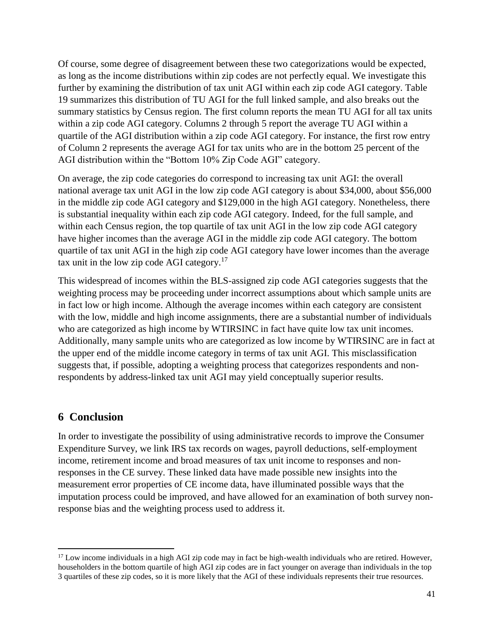Of course, some degree of disagreement between these two categorizations would be expected, as long as the income distributions within zip codes are not perfectly equal. We investigate this further by examining the distribution of tax unit AGI within each zip code AGI category. Table 19 summarizes this distribution of TU AGI for the full linked sample, and also breaks out the summary statistics by Census region. The first column reports the mean TU AGI for all tax units within a zip code AGI category. Columns 2 through 5 report the average TU AGI within a quartile of the AGI distribution within a zip code AGI category. For instance, the first row entry of Column 2 represents the average AGI for tax units who are in the bottom 25 percent of the AGI distribution within the "Bottom 10% Zip Code AGI" category.

On average, the zip code categories do correspond to increasing tax unit AGI: the overall national average tax unit AGI in the low zip code AGI category is about \$34,000, about \$56,000 in the middle zip code AGI category and \$129,000 in the high AGI category. Nonetheless, there is substantial inequality within each zip code AGI category. Indeed, for the full sample, and within each Census region, the top quartile of tax unit AGI in the low zip code AGI category have higher incomes than the average AGI in the middle zip code AGI category. The bottom quartile of tax unit AGI in the high zip code AGI category have lower incomes than the average tax unit in the low zip code AGI category. $17$ 

This widespread of incomes within the BLS-assigned zip code AGI categories suggests that the weighting process may be proceeding under incorrect assumptions about which sample units are in fact low or high income. Although the average incomes within each category are consistent with the low, middle and high income assignments, there are a substantial number of individuals who are categorized as high income by WTIRSINC in fact have quite low tax unit incomes. Additionally, many sample units who are categorized as low income by WTIRSINC are in fact at the upper end of the middle income category in terms of tax unit AGI. This misclassification suggests that, if possible, adopting a weighting process that categorizes respondents and nonrespondents by address-linked tax unit AGI may yield conceptually superior results.

### **6 Conclusion**

 $\overline{\phantom{a}}$ 

In order to investigate the possibility of using administrative records to improve the Consumer Expenditure Survey, we link IRS tax records on wages, payroll deductions, self-employment income, retirement income and broad measures of tax unit income to responses and nonresponses in the CE survey. These linked data have made possible new insights into the measurement error properties of CE income data, have illuminated possible ways that the imputation process could be improved, and have allowed for an examination of both survey nonresponse bias and the weighting process used to address it.

<sup>&</sup>lt;sup>17</sup> Low income individuals in a high AGI zip code may in fact be high-wealth individuals who are retired. However, householders in the bottom quartile of high AGI zip codes are in fact younger on average than individuals in the top 3 quartiles of these zip codes, so it is more likely that the AGI of these individuals represents their true resources.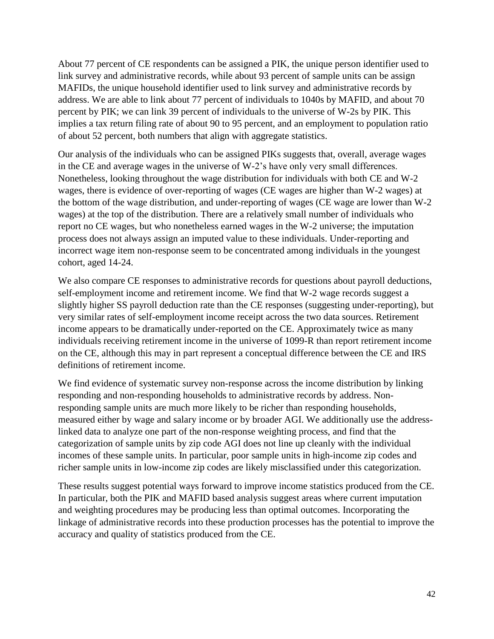About 77 percent of CE respondents can be assigned a PIK, the unique person identifier used to link survey and administrative records, while about 93 percent of sample units can be assign MAFIDs, the unique household identifier used to link survey and administrative records by address. We are able to link about 77 percent of individuals to 1040s by MAFID, and about 70 percent by PIK; we can link 39 percent of individuals to the universe of W-2s by PIK. This implies a tax return filing rate of about 90 to 95 percent, and an employment to population ratio of about 52 percent, both numbers that align with aggregate statistics.

Our analysis of the individuals who can be assigned PIKs suggests that, overall, average wages in the CE and average wages in the universe of W-2's have only very small differences. Nonetheless, looking throughout the wage distribution for individuals with both CE and W-2 wages, there is evidence of over-reporting of wages (CE wages are higher than W-2 wages) at the bottom of the wage distribution, and under-reporting of wages (CE wage are lower than W-2 wages) at the top of the distribution. There are a relatively small number of individuals who report no CE wages, but who nonetheless earned wages in the W-2 universe; the imputation process does not always assign an imputed value to these individuals. Under-reporting and incorrect wage item non-response seem to be concentrated among individuals in the youngest cohort, aged 14-24.

We also compare CE responses to administrative records for questions about payroll deductions, self-employment income and retirement income. We find that W-2 wage records suggest a slightly higher SS payroll deduction rate than the CE responses (suggesting under-reporting), but very similar rates of self-employment income receipt across the two data sources. Retirement income appears to be dramatically under-reported on the CE. Approximately twice as many individuals receiving retirement income in the universe of 1099-R than report retirement income on the CE, although this may in part represent a conceptual difference between the CE and IRS definitions of retirement income.

We find evidence of systematic survey non-response across the income distribution by linking responding and non-responding households to administrative records by address. Nonresponding sample units are much more likely to be richer than responding households, measured either by wage and salary income or by broader AGI. We additionally use the addresslinked data to analyze one part of the non-response weighting process, and find that the categorization of sample units by zip code AGI does not line up cleanly with the individual incomes of these sample units. In particular, poor sample units in high-income zip codes and richer sample units in low-income zip codes are likely misclassified under this categorization.

These results suggest potential ways forward to improve income statistics produced from the CE. In particular, both the PIK and MAFID based analysis suggest areas where current imputation and weighting procedures may be producing less than optimal outcomes. Incorporating the linkage of administrative records into these production processes has the potential to improve the accuracy and quality of statistics produced from the CE.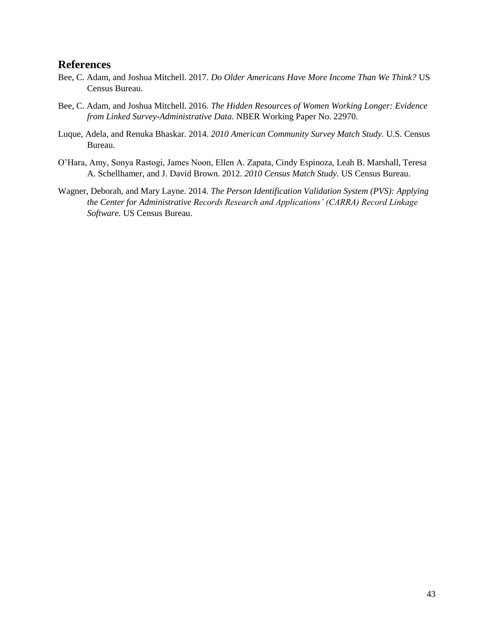#### **References**

- Bee, C. Adam, and Joshua Mitchell. 2017. *Do Older Americans Have More Income Than We Think?* US Census Bureau.
- Bee, C. Adam, and Joshua Mitchell. 2016. *The Hidden Resources of Women Working Longer: Evidence from Linked Survey-Administrative Data.* NBER Working Paper No. 22970.
- Luque, Adela, and Renuka Bhaskar. 2014. *2010 American Community Survey Match Study.* U.S. Census Bureau.
- O'Hara, Amy, Sonya Rastogi, James Noon, Ellen A. Zapata, Cindy Espinoza, Leah B. Marshall, Teresa A. Schellhamer, and J. David Brown. 2012. *2010 Census Match Study.* US Census Bureau.
- Wagner, Deborah, and Mary Layne. 2014. *The Person Identification Validation System (PVS): Applying the Center for Administrative Records Research and Applications' (CARRA) Record Linkage Software.* US Census Bureau.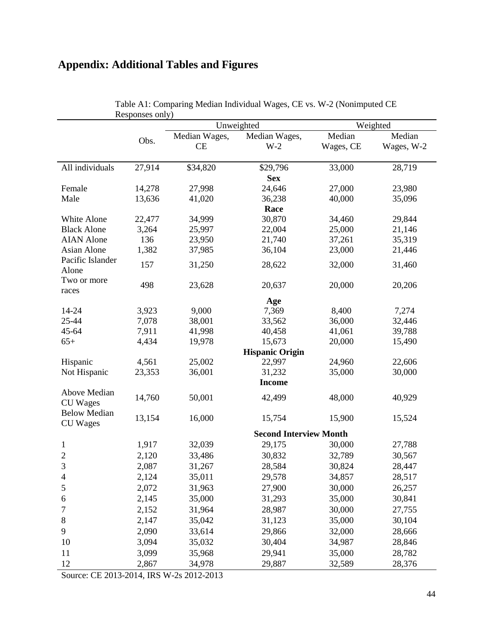# **Appendix: Additional Tables and Figures**

|                                 | <b>KCSPONSCS</b> OIII Y |               | Unweighted                    |           | Weighted   |  |  |
|---------------------------------|-------------------------|---------------|-------------------------------|-----------|------------|--|--|
|                                 |                         | Median Wages, | Median Wages,                 | Median    | Median     |  |  |
|                                 | Obs.                    | CE            | $W-2$                         | Wages, CE | Wages, W-2 |  |  |
|                                 |                         |               |                               |           |            |  |  |
| All individuals                 | 27,914                  | \$34,820      | \$29,796                      | 33,000    | 28,719     |  |  |
|                                 |                         |               | <b>Sex</b>                    |           |            |  |  |
| Female                          | 14,278                  | 27,998        | 24,646                        | 27,000    | 23,980     |  |  |
| Male                            | 13,636                  | 41,020        | 36,238                        | 40,000    | 35,096     |  |  |
|                                 |                         |               | Race                          |           |            |  |  |
| White Alone                     | 22,477                  | 34,999        | 30,870                        | 34,460    | 29,844     |  |  |
| <b>Black Alone</b>              | 3,264                   | 25,997        | 22,004                        | 25,000    | 21,146     |  |  |
| <b>AIAN</b> Alone               | 136                     | 23,950        | 21,740                        | 37,261    | 35,319     |  |  |
| Asian Alone                     | 1,382                   | 37,985        | 36,104                        | 23,000    | 21,446     |  |  |
| Pacific Islander                | 157                     | 31,250        | 28,622                        | 32,000    | 31,460     |  |  |
| Alone                           |                         |               |                               |           |            |  |  |
| Two or more                     | 498                     | 23,628        | 20,637                        | 20,000    | 20,206     |  |  |
| races                           |                         |               |                               |           |            |  |  |
|                                 |                         |               | Age                           |           |            |  |  |
| 14-24                           | 3,923                   | 9,000         | 7,369                         | 8,400     | 7,274      |  |  |
| 25-44                           | 7,078                   | 38,001        | 33,562                        | 36,000    | 32,446     |  |  |
| 45-64                           | 7,911                   | 41,998        | 40,458                        | 41,061    | 39,788     |  |  |
| $65+$                           | 4,434                   | 19,978        | 15,673                        | 20,000    | 15,490     |  |  |
|                                 |                         |               | <b>Hispanic Origin</b>        |           |            |  |  |
| Hispanic                        | 4,561                   | 25,002        | 22,997                        | 24,960    | 22,606     |  |  |
| Not Hispanic                    | 23,353                  | 36,001        | 31,232                        | 35,000    | 30,000     |  |  |
|                                 |                         |               | <b>Income</b>                 |           |            |  |  |
| Above Median<br><b>CU</b> Wages | 14,760                  | 50,001        | 42,499                        | 48,000    | 40,929     |  |  |
| <b>Below Median</b>             |                         |               |                               |           |            |  |  |
| <b>CU</b> Wages                 | 13,154                  | 16,000        | 15,754                        | 15,900    | 15,524     |  |  |
|                                 |                         |               | <b>Second Interview Month</b> |           |            |  |  |
| $\mathbf{1}$                    | 1,917                   | 32,039        | 29,175                        | 30,000    | 27,788     |  |  |
| $\sqrt{2}$                      | 2,120                   | 33,486        | 30,832                        | 32,789    | 30,567     |  |  |
| $\overline{3}$                  | 2,087                   | 31,267        | 28,584                        | 30,824    | 28,447     |  |  |
| $\overline{4}$                  | 2,124                   | 35,011        | 29,578                        | 34,857    | 28,517     |  |  |
| 5                               | 2,072                   | 31,963        | 27,900                        | 30,000    | 26,257     |  |  |
| 6                               | 2,145                   | 35,000        | 31,293                        | 35,000    | 30,841     |  |  |
| 7                               | 2,152                   | 31,964        | 28,987                        | 30,000    | 27,755     |  |  |
| 8                               | 2,147                   | 35,042        | 31,123                        | 35,000    | 30,104     |  |  |
| 9                               |                         |               |                               |           |            |  |  |
|                                 | 2,090                   | 33,614        | 29,866                        | 32,000    | 28,666     |  |  |
| 10                              | 3,094                   | 35,032        | 30,404                        | 34,987    | 28,846     |  |  |
| 11                              | 3,099                   | 35,968        | 29,941                        | 35,000    | 28,782     |  |  |
| 12                              | 2,867                   | 34,978        | 29,887                        | 32,589    | 28,376     |  |  |

Table A1: Comparing Median Individual Wages, CE vs. W-2 (Nonimputed CE Responses only)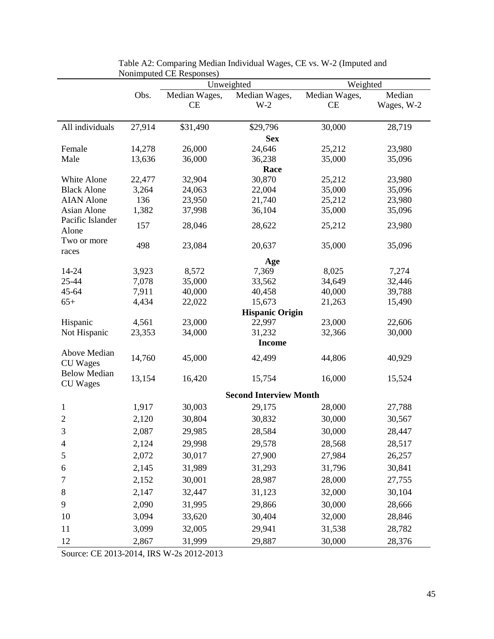|                                   |              | $\Gamma$ Nothing the $\Gamma$ is a responses<br>Unweighted |                               | Weighted         |                  |
|-----------------------------------|--------------|------------------------------------------------------------|-------------------------------|------------------|------------------|
|                                   | Obs.         | Median Wages,                                              | Median Wages,                 | Median Wages,    | Median           |
|                                   |              | CE                                                         | $W-2$                         | <b>CE</b>        | Wages, W-2       |
|                                   |              |                                                            |                               |                  |                  |
| All individuals                   | 27,914       | \$31,490                                                   | \$29,796                      | 30,000           | 28,719           |
|                                   |              |                                                            | <b>Sex</b>                    |                  |                  |
| Female                            | 14,278       | 26,000                                                     | 24,646                        | 25,212           | 23,980           |
| Male                              | 13,636       | 36,000                                                     | 36,238                        | 35,000           | 35,096           |
|                                   |              |                                                            | Race                          |                  |                  |
| White Alone<br><b>Black Alone</b> | 22,477       | 32,904                                                     | 30,870<br>22,004              | 25,212           | 23,980<br>35,096 |
| <b>AIAN</b> Alone                 | 3,264<br>136 | 24,063<br>23,950                                           | 21,740                        | 35,000<br>25,212 | 23,980           |
| Asian Alone                       | 1,382        | 37,998                                                     | 36,104                        | 35,000           | 35,096           |
| Pacific Islander                  |              |                                                            |                               |                  |                  |
| Alone                             | 157          | 28,046                                                     | 28,622                        | 25,212           | 23,980           |
| Two or more                       |              |                                                            |                               |                  |                  |
| races                             | 498          | 23,084                                                     | 20,637                        | 35,000           | 35,096           |
|                                   |              |                                                            | Age                           |                  |                  |
| 14-24                             | 3,923        | 8,572                                                      | 7,369                         | 8,025            | 7,274            |
| 25-44                             | 7,078        | 35,000                                                     | 33,562                        | 34,649           | 32,446           |
| 45-64                             | 7,911        | 40,000                                                     | 40,458                        | 40,000           | 39,788           |
| $65+$                             | 4,434        | 22,022                                                     | 15,673                        | 21,263           | 15,490           |
|                                   |              |                                                            | <b>Hispanic Origin</b>        |                  |                  |
| Hispanic                          | 4,561        | 23,000                                                     | 22,997                        | 23,000           | 22,606           |
| Not Hispanic                      | 23,353       | 34,000                                                     | 31,232<br><b>Income</b>       | 32,366           | 30,000           |
| Above Median                      |              |                                                            |                               |                  |                  |
| <b>CU</b> Wages                   | 14,760       | 45,000                                                     | 42,499                        | 44,806           | 40,929           |
| <b>Below Median</b>               | 13,154       | 16,420                                                     | 15,754                        | 16,000           | 15,524           |
| <b>CU</b> Wages                   |              |                                                            |                               |                  |                  |
|                                   |              |                                                            | <b>Second Interview Month</b> |                  |                  |
| $\mathbf{1}$                      | 1,917        | 30,003                                                     | 29,175                        | 28,000           | 27,788           |
| $\overline{2}$                    | 2,120        | 30,804                                                     | 30,832                        | 30,000           | 30,567           |
| 3                                 | 2,087        | 29,985                                                     | 28,584                        | 30,000           | 28,447           |
| $\overline{4}$                    | 2,124        | 29,998                                                     | 29,578                        | 28,568           | 28,517           |
| 5                                 | 2,072        | 30,017                                                     | 27,900                        | 27,984           | 26,257           |
| 6                                 | 2,145        | 31,989                                                     | 31,293                        | 31,796           | 30,841           |
| 7                                 | 2,152        | 30,001                                                     | 28,987                        | 28,000           | 27,755           |
| 8                                 | 2,147        | 32,447                                                     | 31,123                        | 32,000           | 30,104           |
| 9                                 | 2,090        | 31,995                                                     | 29,866                        | 30,000           | 28,666           |
| 10                                | 3,094        | 33,620                                                     | 30,404                        | 32,000           | 28,846           |
| 11                                | 3,099        | 32,005                                                     | 29,941                        | 31,538           | 28,782           |
| 12                                | 2,867        | 31,999                                                     | 29,887                        | 30,000           | 28,376           |

Table A2: Comparing Median Individual Wages, CE vs. W-2 (Imputed and Nonimputed CE Responses)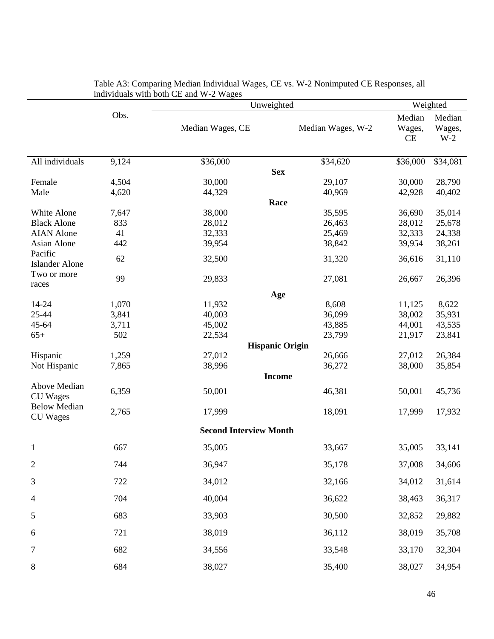|                                        |       | $\mu$ and $\mu$ and $\mu$ and $\mu$ -2 wages | Unweighted             |                        |                                       |
|----------------------------------------|-------|----------------------------------------------|------------------------|------------------------|---------------------------------------|
|                                        | Obs.  | Median Wages, CE                             | Median Wages, W-2      | Median<br>Wages,<br>CE | Weighted<br>Median<br>Wages,<br>$W-2$ |
| All individuals                        | 9,124 | \$36,000                                     | \$34,620               | \$36,000               | \$34,081                              |
|                                        |       |                                              | <b>Sex</b>             |                        |                                       |
| Female                                 | 4,504 | 30,000                                       | 29,107                 | 30,000                 | 28,790                                |
| Male                                   | 4,620 | 44,329                                       | 40,969                 | 42,928                 | 40,402                                |
|                                        |       |                                              | Race                   |                        |                                       |
| White Alone                            | 7,647 | 38,000                                       | 35,595                 | 36,690                 | 35,014                                |
| <b>Black Alone</b>                     | 833   | 28,012                                       | 26,463                 | 28,012                 | 25,678                                |
| <b>AIAN</b> Alone                      | 41    | 32,333                                       | 25,469                 | 32,333                 | 24,338                                |
| Asian Alone                            | 442   | 39,954                                       | 38,842                 | 39,954                 | 38,261                                |
| Pacific<br><b>Islander Alone</b>       | 62    | 32,500                                       | 31,320                 | 36,616                 | 31,110                                |
| Two or more                            | 99    | 29,833                                       | 27,081                 | 26,667                 | 26,396                                |
| races                                  |       |                                              |                        |                        |                                       |
| 14-24                                  | 1,070 | 11,932                                       | Age<br>8,608           | 11,125                 | 8,622                                 |
| 25-44                                  | 3,841 | 40,003                                       | 36,099                 | 38,002                 | 35,931                                |
| 45-64                                  | 3,711 | 45,002                                       | 43,885                 | 44,001                 | 43,535                                |
| $65+$                                  | 502   | 22,534                                       | 23,799                 | 21,917                 | 23,841                                |
|                                        |       |                                              | <b>Hispanic Origin</b> |                        |                                       |
| Hispanic                               | 1,259 | 27,012                                       | 26,666                 | 27,012                 | 26,384                                |
| Not Hispanic                           | 7,865 | 38,996                                       | 36,272                 | 38,000                 | 35,854                                |
|                                        |       |                                              | <b>Income</b>          |                        |                                       |
| Above Median<br><b>CU</b> Wages        | 6,359 | 50,001                                       | 46,381                 | 50,001                 | 45,736                                |
| <b>Below Median</b><br><b>CU</b> Wages | 2,765 | 17,999                                       | 18,091                 | 17,999                 | 17,932                                |
|                                        |       | <b>Second Interview Month</b>                |                        |                        |                                       |
| 1                                      | 667   | 35,005                                       | 33,667                 | 35,005                 | 33,141                                |
| 2                                      | 744   | 36,947                                       | 35,178                 | 37,008                 | 34,606                                |
| 3                                      | 722   | 34,012                                       | 32,166                 | 34,012                 | 31,614                                |
| 4                                      | 704   | 40,004                                       | 36,622                 | 38,463                 | 36,317                                |
| 5                                      | 683   | 33,903                                       | 30,500                 | 32,852                 | 29,882                                |
| 6                                      | 721   | 38,019                                       | 36,112                 | 38,019                 | 35,708                                |
| 7                                      | 682   | 34,556                                       | 33,548                 | 33,170                 | 32,304                                |
| 8                                      | 684   | 38,027                                       | 35,400                 | 38,027                 | 34,954                                |

| Table A3: Comparing Median Individual Wages, CE vs. W-2 Nonimputed CE Responses, all |  |
|--------------------------------------------------------------------------------------|--|
| individuals with both CE and W-2 Wages                                               |  |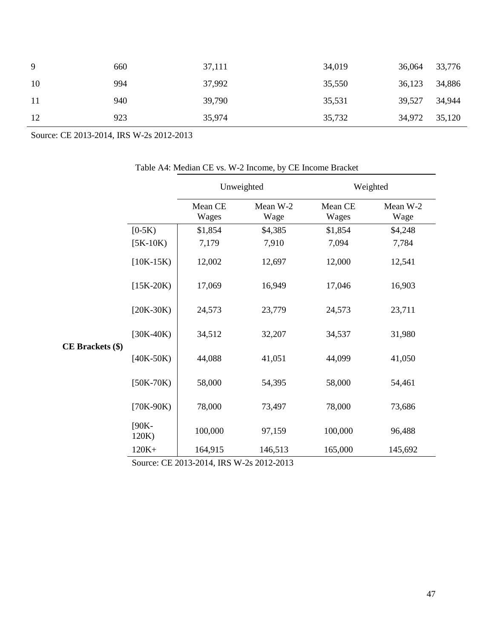| -9  | 660 | 37,111 | 34,019 | 36,064        | 33,776 |
|-----|-----|--------|--------|---------------|--------|
| 10  | 994 | 37,992 | 35,550 | 36,123        | 34,886 |
| -11 | 940 | 39,790 | 35,531 | 39,527        | 34,944 |
| 12  | 923 | 35,974 | 35,732 | 34,972 35,120 |        |

Source: CE 2013-2014, IRS W-2s 2012-2013

|                  |                   |                  | Unweighted       | Weighted         |                  |  |
|------------------|-------------------|------------------|------------------|------------------|------------------|--|
|                  |                   | Mean CE<br>Wages | Mean W-2<br>Wage | Mean CE<br>Wages | Mean W-2<br>Wage |  |
|                  | $[0-5K)$          | \$1,854          | \$4,385          | \$1,854          | \$4,248          |  |
|                  | $[5K-10K)$        | 7,179            | 7,910            | 7,094            | 7,784            |  |
|                  | $[10K-15K)$       | 12,002           | 12,697           | 12,000           | 12,541           |  |
|                  | $[15K-20K)$       | 17,069           | 16,949           | 17,046           | 16,903           |  |
|                  | $[20K-30K)$       | 24,573           | 23,779           | 24,573           | 23,711           |  |
|                  | $[30K-40K)$       | 34,512           | 32,207           | 34,537           | 31,980           |  |
| CE Brackets (\$) | $[40K-50K]$       | 44,088           | 41,051           | 44,099           | 41,050           |  |
|                  | $[50K-70K)$       | 58,000           | 54,395           | 58,000           | 54,461           |  |
|                  | $[70K-90K)$       | 78,000           | 73,497           | 78,000           | 73,686           |  |
|                  | $[90K -$<br>120K) | 100,000          | 97,159           | 100,000          | 96,488           |  |
|                  | $120K+$           | 164,915          | 146,513          | 165,000          | 145,692          |  |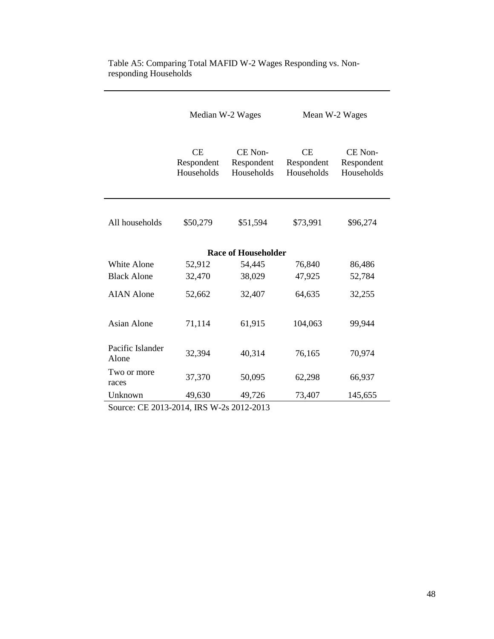|                           | Median W-2 Wages                      |                                     |                                | Mean W-2 Wages                      |
|---------------------------|---------------------------------------|-------------------------------------|--------------------------------|-------------------------------------|
|                           | <b>CE</b><br>Respondent<br>Households | CE Non-<br>Respondent<br>Households | CE<br>Respondent<br>Households | CE Non-<br>Respondent<br>Households |
| All households            | \$50,279                              | \$51,594                            | \$73,991                       | \$96,274                            |
|                           |                                       | <b>Race of Householder</b>          |                                |                                     |
| White Alone               | 52,912                                | 54,445                              | 76,840                         | 86,486                              |
| <b>Black Alone</b>        | 32,470                                | 38,029                              | 47,925                         | 52,784                              |
| <b>AIAN</b> Alone         | 52,662                                | 32,407                              | 64,635                         | 32,255                              |
| <b>Asian Alone</b>        | 71,114                                | 61,915                              | 104,063                        | 99,944                              |
| Pacific Islander<br>Alone | 32,394                                | 40,314                              | 76,165                         | 70,974                              |
| Two or more<br>races      | 37,370                                | 50,095                              | 62,298                         | 66,937                              |
| Unknown                   | 49,630                                | 49,726                              | 73,407                         | 145,655                             |

#### Table A5: Comparing Total MAFID W-2 Wages Responding vs. Nonresponding Households